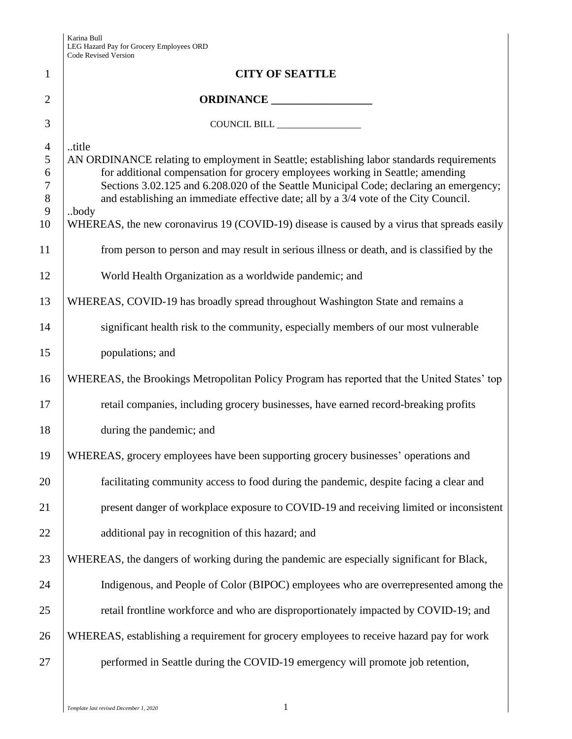| $\mathbf{1}$    | <b>CITY OF SEATTLE</b>                                                                                                                                                         |
|-----------------|--------------------------------------------------------------------------------------------------------------------------------------------------------------------------------|
| $\overline{2}$  |                                                                                                                                                                                |
| 3               | COUNCIL BILL                                                                                                                                                                   |
| $\overline{4}$  | title                                                                                                                                                                          |
| 5               | AN ORDINANCE relating to employment in Seattle; establishing labor standards requirements                                                                                      |
| 6               | for additional compensation for grocery employees working in Seattle; amending                                                                                                 |
| $\tau$<br>$8\,$ | Sections 3.02.125 and 6.208.020 of the Seattle Municipal Code; declaring an emergency;<br>and establishing an immediate effective date; all by a 3/4 vote of the City Council. |
| 9               | body                                                                                                                                                                           |
| 10              | WHEREAS, the new coronavirus 19 (COVID-19) disease is caused by a virus that spreads easily                                                                                    |
| 11              | from person to person and may result in serious illness or death, and is classified by the                                                                                     |
| 12              | World Health Organization as a worldwide pandemic; and                                                                                                                         |
| 13              | WHEREAS, COVID-19 has broadly spread throughout Washington State and remains a                                                                                                 |
| 14              | significant health risk to the community, especially members of our most vulnerable                                                                                            |
| 15              | populations; and                                                                                                                                                               |
| 16              | WHEREAS, the Brookings Metropolitan Policy Program has reported that the United States' top                                                                                    |
| 17              | retail companies, including grocery businesses, have earned record-breaking profits                                                                                            |
| 18              | during the pandemic; and                                                                                                                                                       |
| 19              | WHEREAS, grocery employees have been supporting grocery businesses' operations and                                                                                             |
| 20              | facilitating community access to food during the pandemic, despite facing a clear and                                                                                          |
| 21              | present danger of workplace exposure to COVID-19 and receiving limited or inconsistent                                                                                         |
| 22              | additional pay in recognition of this hazard; and                                                                                                                              |
| 23              | WHEREAS, the dangers of working during the pandemic are especially significant for Black,                                                                                      |
| 24              | Indigenous, and People of Color (BIPOC) employees who are overrepresented among the                                                                                            |
| 25              | retail frontline workforce and who are disproportionately impacted by COVID-19; and                                                                                            |
| 26              | WHEREAS, establishing a requirement for grocery employees to receive hazard pay for work                                                                                       |
| 27              | performed in Seattle during the COVID-19 emergency will promote job retention,                                                                                                 |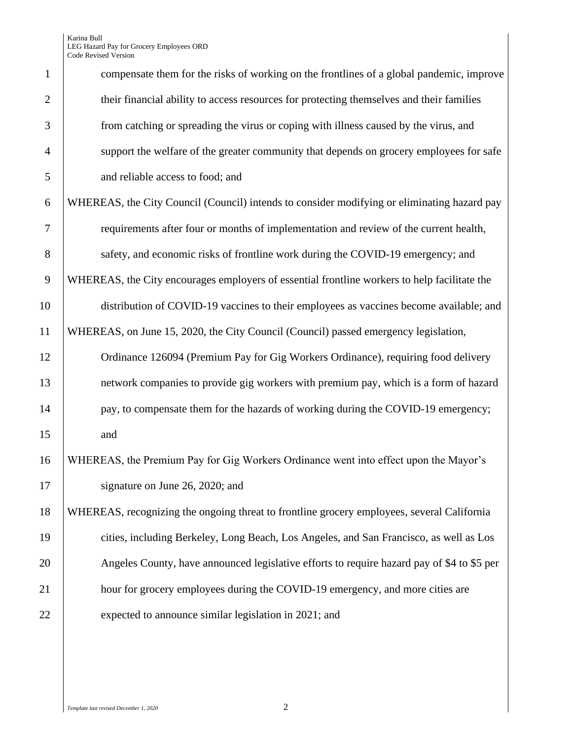| $\mathbf{1}$   | compensate them for the risks of working on the frontlines of a global pandemic, improve     |
|----------------|----------------------------------------------------------------------------------------------|
| $\overline{2}$ | their financial ability to access resources for protecting themselves and their families     |
| 3              | from catching or spreading the virus or coping with illness caused by the virus, and         |
| $\overline{4}$ | support the welfare of the greater community that depends on grocery employees for safe      |
| 5              | and reliable access to food; and                                                             |
| 6              | WHEREAS, the City Council (Council) intends to consider modifying or eliminating hazard pay  |
| 7              | requirements after four or months of implementation and review of the current health,        |
| $8\,$          | safety, and economic risks of frontline work during the COVID-19 emergency; and              |
| 9              | WHEREAS, the City encourages employers of essential frontline workers to help facilitate the |
| 10             | distribution of COVID-19 vaccines to their employees as vaccines become available; and       |
| 11             | WHEREAS, on June 15, 2020, the City Council (Council) passed emergency legislation,          |
| 12             | Ordinance 126094 (Premium Pay for Gig Workers Ordinance), requiring food delivery            |
| 13             | network companies to provide gig workers with premium pay, which is a form of hazard         |
| 14             | pay, to compensate them for the hazards of working during the COVID-19 emergency;            |
| 15             | and                                                                                          |
| 16             | WHEREAS, the Premium Pay for Gig Workers Ordinance went into effect upon the Mayor's         |
| 17             | signature on June 26, 2020; and                                                              |
| 18             | WHEREAS, recognizing the ongoing threat to frontline grocery employees, several California   |
| 19             | cities, including Berkeley, Long Beach, Los Angeles, and San Francisco, as well as Los       |
| 20             | Angeles County, have announced legislative efforts to require hazard pay of \$4 to \$5 per   |
| 21             | hour for grocery employees during the COVID-19 emergency, and more cities are                |
| 22             | expected to announce similar legislation in 2021; and                                        |
|                |                                                                                              |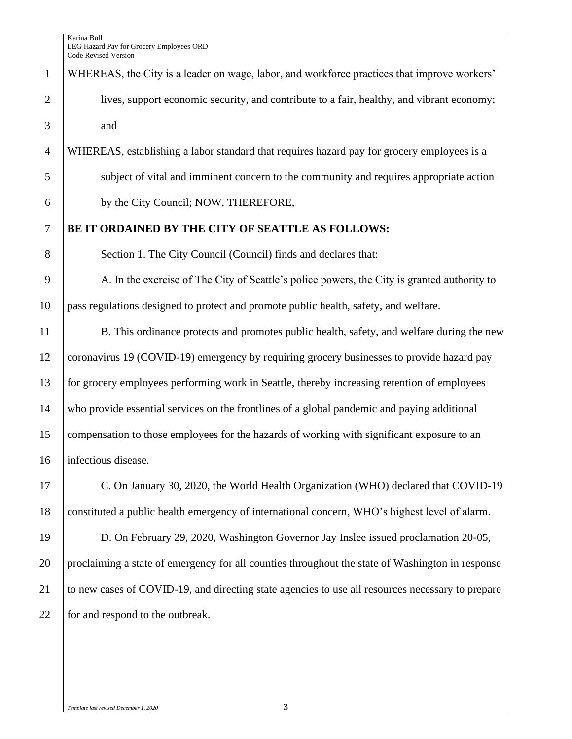WHEREAS, the City is a leader on wage, labor, and workforce practices that improve workers' lives, support economic security, and contribute to a fair, healthy, and vibrant economy; and

 WHEREAS, establishing a labor standard that requires hazard pay for grocery employees is a subject of vital and imminent concern to the community and requires appropriate action by the City Council; NOW, THEREFORE,

## **BE IT ORDAINED BY THE CITY OF SEATTLE AS FOLLOWS:**

8 Section 1. The City Council (Council) finds and declares that:

9 A. In the exercise of The City of Seattle's police powers, the City is granted authority to pass regulations designed to protect and promote public health, safety, and welfare.

11 B. This ordinance protects and promotes public health, safety, and welfare during the new 12 coronavirus 19 (COVID-19) emergency by requiring grocery businesses to provide hazard pay for grocery employees performing work in Seattle, thereby increasing retention of employees who provide essential services on the frontlines of a global pandemic and paying additional compensation to those employees for the hazards of working with significant exposure to an infectious disease.

 C. On January 30, 2020, the World Health Organization (WHO) declared that COVID-19 constituted a public health emergency of international concern, WHO's highest level of alarm.

 D. On February 29, 2020, Washington Governor Jay Inslee issued proclamation 20-05, proclaiming a state of emergency for all counties throughout the state of Washington in response to new cases of COVID-19, and directing state agencies to use all resources necessary to prepare 22 for and respond to the outbreak.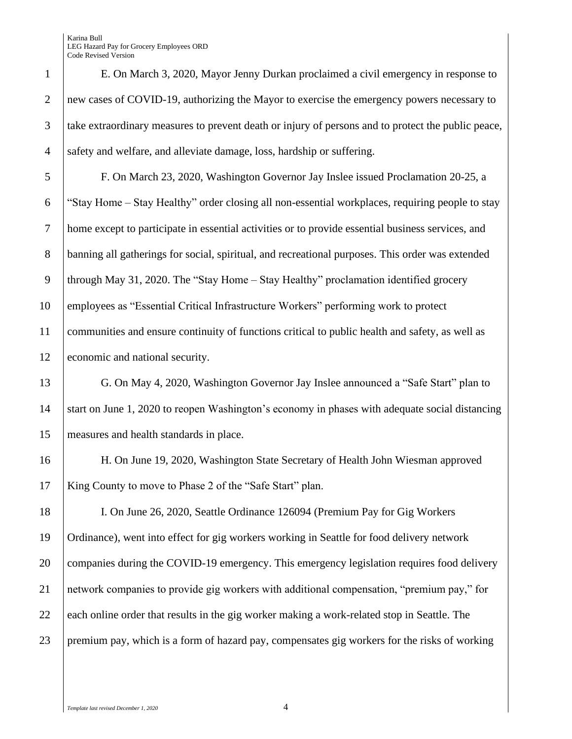E. On March 3, 2020, Mayor Jenny Durkan proclaimed a civil emergency in response to new cases of COVID-19, authorizing the Mayor to exercise the emergency powers necessary to take extraordinary measures to prevent death or injury of persons and to protect the public peace, safety and welfare, and alleviate damage, loss, hardship or suffering.

 F. On March 23, 2020, Washington Governor Jay Inslee issued Proclamation 20-25, a "Stay Home – Stay Healthy" order closing all non-essential workplaces, requiring people to stay home except to participate in essential activities or to provide essential business services, and banning all gatherings for social, spiritual, and recreational purposes. This order was extended through May 31, 2020. The "Stay Home – Stay Healthy" proclamation identified grocery employees as "Essential Critical Infrastructure Workers" performing work to protect communities and ensure continuity of functions critical to public health and safety, as well as 12 economic and national security.

 G. On May 4, 2020, Washington Governor Jay Inslee announced a "Safe Start" plan to start on June 1, 2020 to reopen Washington's economy in phases with adequate social distancing measures and health standards in place.

 H. On June 19, 2020, Washington State Secretary of Health John Wiesman approved King County to move to Phase 2 of the "Safe Start" plan.

 I. On June 26, 2020, Seattle Ordinance 126094 (Premium Pay for Gig Workers Ordinance), went into effect for gig workers working in Seattle for food delivery network 20 companies during the COVID-19 emergency. This emergency legislation requires food delivery network companies to provide gig workers with additional compensation, "premium pay," for 22 each online order that results in the gig worker making a work-related stop in Seattle. The premium pay, which is a form of hazard pay, compensates gig workers for the risks of working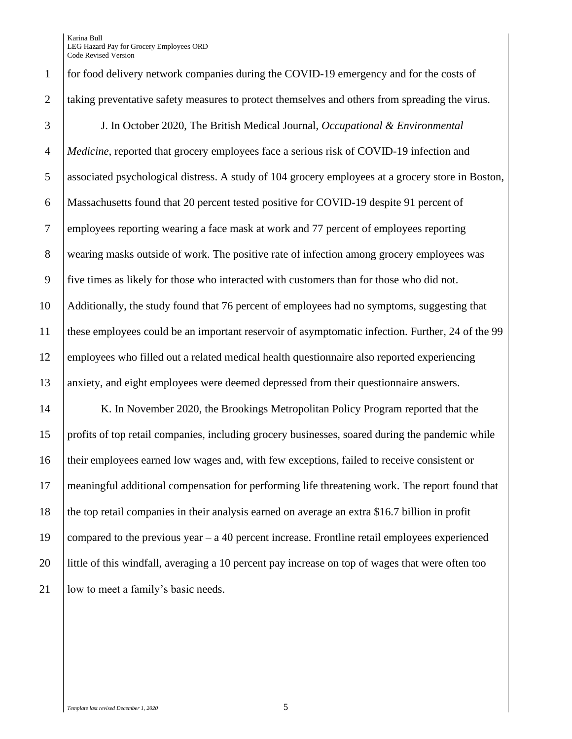taking preventative safety measures to protect themselves and others from spreading the virus. J. In October 2020, The British Medical Journal, *Occupational & Environmental Medicine*, reported that grocery employees face a serious risk of COVID-19 infection and associated psychological distress. A study of 104 grocery employees at a grocery store in Boston, Massachusetts found that 20 percent tested positive for COVID-19 despite 91 percent of employees reporting wearing a face mask at work and 77 percent of employees reporting wearing masks outside of work. The positive rate of infection among grocery employees was five times as likely for those who interacted with customers than for those who did not. Additionally, the study found that 76 percent of employees had no symptoms, suggesting that these employees could be an important reservoir of asymptomatic infection. Further, 24 of the 99 employees who filled out a related medical health questionnaire also reported experiencing anxiety, and eight employees were deemed depressed from their questionnaire answers.

14 K. In November 2020, the Brookings Metropolitan Policy Program reported that the profits of top retail companies, including grocery businesses, soared during the pandemic while their employees earned low wages and, with few exceptions, failed to receive consistent or meaningful additional compensation for performing life threatening work. The report found that the top retail companies in their analysis earned on average an extra \$16.7 billion in profit  $\vert$  compared to the previous year – a 40 percent increase. Frontline retail employees experienced little of this windfall, averaging a 10 percent pay increase on top of wages that were often too *low to meet a family's basic needs.*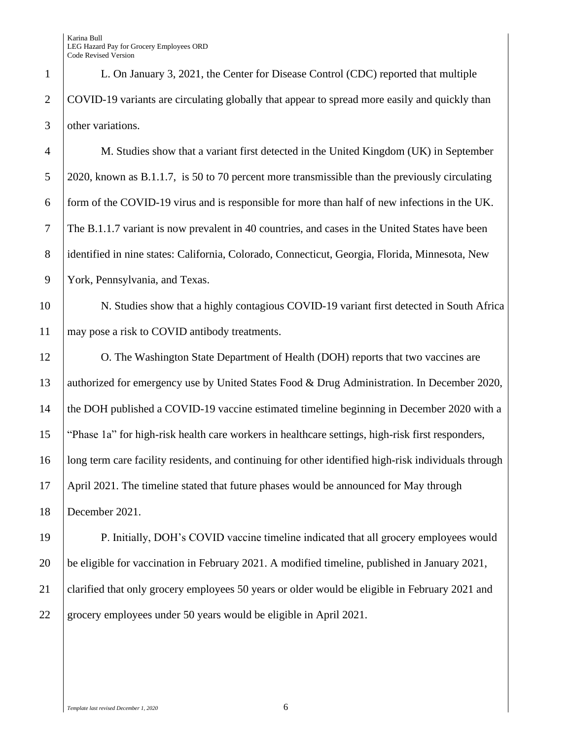L. On January 3, 2021, the Center for Disease Control (CDC) reported that multiple COVID-19 variants are circulating globally that appear to spread more easily and quickly than other variations.

 M. Studies show that a variant first detected in the United Kingdom (UK) in September 2020, known as B.1.1.7, is 50 to 70 percent more transmissible than the previously circulating form of the COVID-19 virus and is responsible for more than half of new infections in the UK. The B.1.1.7 variant is now prevalent in 40 countries, and cases in the United States have been 8 | identified in nine states: California, Colorado, Connecticut, Georgia, Florida, Minnesota, New York, Pennsylvania, and Texas.

 N. Studies show that a highly contagious COVID-19 variant first detected in South Africa 11 | may pose a risk to COVID antibody treatments.

 O. The Washington State Department of Health (DOH) reports that two vaccines are 13 authorized for emergency use by United States Food & Drug Administration. In December 2020, 14 the DOH published a COVID-19 vaccine estimated timeline beginning in December 2020 with a "Phase 1a" for high-risk health care workers in healthcare settings, high-risk first responders, **long term care facility residents, and continuing for other identified high-risk individuals through**  April 2021. The timeline stated that future phases would be announced for May through December 2021.

**P. Initially, DOH's COVID vaccine timeline indicated that all grocery employees would**  be eligible for vaccination in February 2021. A modified timeline, published in January 2021, clarified that only grocery employees 50 years or older would be eligible in February 2021 and grocery employees under 50 years would be eligible in April 2021.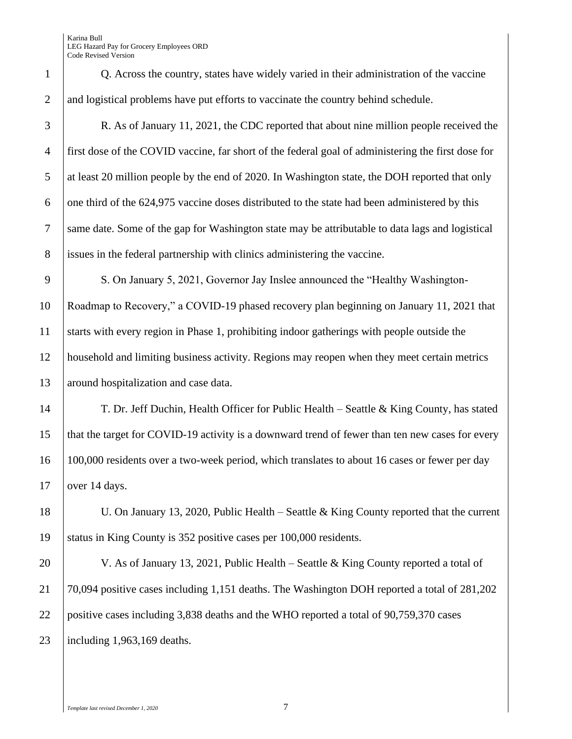1 Q. Across the country, states have widely varied in their administration of the vaccine 2 and logistical problems have put efforts to vaccinate the country behind schedule.

 R. As of January 11, 2021, the CDC reported that about nine million people received the first dose of the COVID vaccine, far short of the federal goal of administering the first dose for 5 at least 20 million people by the end of 2020. In Washington state, the DOH reported that only 6 one third of the  $624,975$  vaccine doses distributed to the state had been administered by this same date. Some of the gap for Washington state may be attributable to data lags and logistical issues in the federal partnership with clinics administering the vaccine.

9 S. On January 5, 2021, Governor Jay Inslee announced the "Healthy Washington-10 Roadmap to Recovery," a COVID-19 phased recovery plan beginning on January 11, 2021 that 11 starts with every region in Phase 1, prohibiting indoor gatherings with people outside the 12 household and limiting business activity. Regions may reopen when they meet certain metrics 13 around hospitalization and case data.

14 T. Dr. Jeff Duchin, Health Officer for Public Health – Seattle & King County, has stated 15 | that the target for COVID-19 activity is a downward trend of fewer than ten new cases for every 16 100,000 residents over a two-week period, which translates to about 16 cases or fewer per day  $17$  over 14 days.

18 U. On January 13, 2020, Public Health – Seattle & King County reported that the current 19 status in King County is 352 positive cases per 100,000 residents.

20 V. As of January 13, 2021, Public Health – Seattle & King County reported a total of 70,094 positive cases including 1,151 deaths. The Washington DOH reported a total of 281,202 positive cases including 3,838 deaths and the WHO reported a total of 90,759,370 cases including 1,963,169 deaths.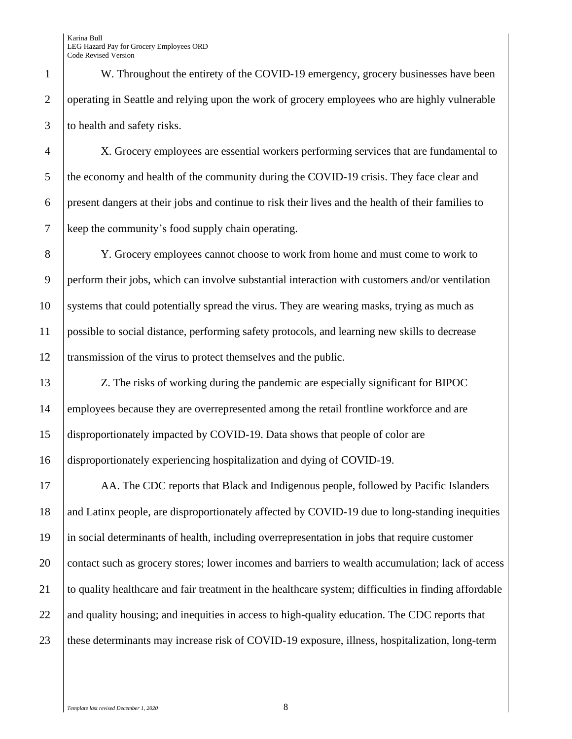1 W. Throughout the entirety of the COVID-19 emergency, grocery businesses have been 2 operating in Seattle and relying upon the work of grocery employees who are highly vulnerable 3 to health and safety risks.

 X. Grocery employees are essential workers performing services that are fundamental to 5 the economy and health of the community during the COVID-19 crisis. They face clear and present dangers at their jobs and continue to risk their lives and the health of their families to keep the community's food supply chain operating.

8 Y. Grocery employees cannot choose to work from home and must come to work to 9 perform their jobs, which can involve substantial interaction with customers and/or ventilation 10 systems that could potentially spread the virus. They are wearing masks, trying as much as 11 possible to social distance, performing safety protocols, and learning new skills to decrease 12 Transmission of the virus to protect themselves and the public.

**Z.** The risks of working during the pandemic are especially significant for BIPOC employees because they are overrepresented among the retail frontline workforce and are disproportionately impacted by COVID-19. Data shows that people of color are disproportionately experiencing hospitalization and dying of COVID-19.

17 AA. The CDC reports that Black and Indigenous people, followed by Pacific Islanders 18 and Latinx people, are disproportionately affected by COVID-19 due to long-standing inequities 19 in social determinants of health, including overrepresentation in jobs that require customer 20 contact such as grocery stores; lower incomes and barriers to wealth accumulation; lack of access 21 to quality healthcare and fair treatment in the healthcare system; difficulties in finding affordable 22 and quality housing; and inequities in access to high-quality education. The CDC reports that 23 these determinants may increase risk of COVID-19 exposure, illness, hospitalization, long-term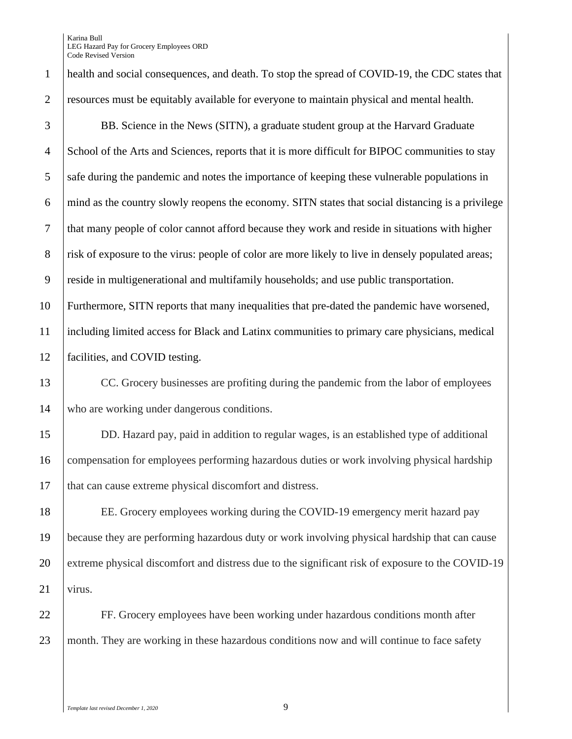health and social consequences, and death. To stop the spread of COVID-19, the CDC states that resources must be equitably available for everyone to maintain physical and mental health.

 BB. Science in the News (SITN), a graduate student group at the Harvard Graduate School of the Arts and Sciences, reports that it is more difficult for BIPOC communities to stay 5 safe during the pandemic and notes the importance of keeping these vulnerable populations in mind as the country slowly reopens the economy. SITN states that social distancing is a privilege that many people of color cannot afford because they work and reside in situations with higher 8 risk of exposure to the virus: people of color are more likely to live in densely populated areas; reside in multigenerational and multifamily households; and use public transportation.

 Furthermore, SITN reports that many inequalities that pre-dated the pandemic have worsened, including limited access for Black and Latinx communities to primary care physicians, medical facilities, and COVID testing.

 CC. Grocery businesses are profiting during the pandemic from the labor of employees who are working under dangerous conditions.

 DD. Hazard pay, paid in addition to regular wages, is an established type of additional compensation for employees performing hazardous duties or work involving physical hardship 17 | that can cause extreme physical discomfort and distress.

 EE. Grocery employees working during the COVID-19 emergency merit hazard pay because they are performing hazardous duty or work involving physical hardship that can cause extreme physical discomfort and distress due to the significant risk of exposure to the COVID-19 virus.

 FF. Grocery employees have been working under hazardous conditions month after 23 month. They are working in these hazardous conditions now and will continue to face safety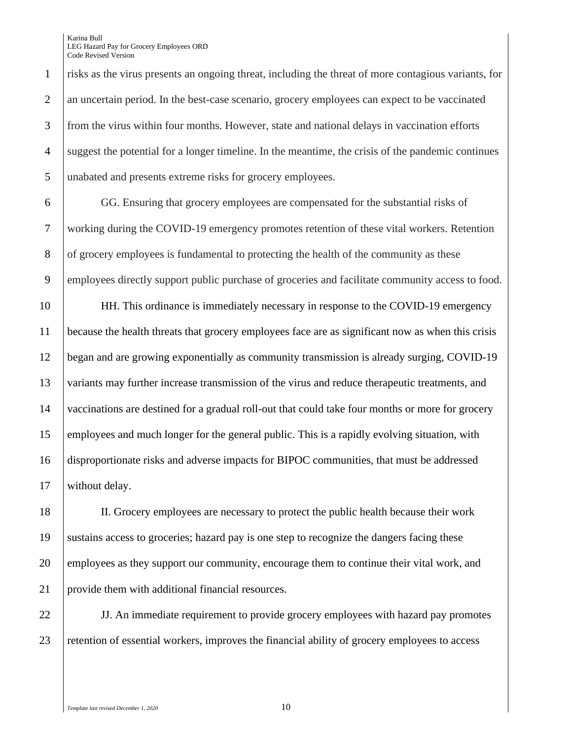risks as the virus presents an ongoing threat, including the threat of more contagious variants, for 2 an uncertain period. In the best-case scenario, grocery employees can expect to be vaccinated from the virus within four months. However, state and national delays in vaccination efforts suggest the potential for a longer timeline. In the meantime, the crisis of the pandemic continues unabated and presents extreme risks for grocery employees.

 GG. Ensuring that grocery employees are compensated for the substantial risks of working during the COVID-19 emergency promotes retention of these vital workers. Retention 8 of grocery employees is fundamental to protecting the health of the community as these employees directly support public purchase of groceries and facilitate community access to food.

 HH. This ordinance is immediately necessary in response to the COVID-19 emergency because the health threats that grocery employees face are as significant now as when this crisis began and are growing exponentially as community transmission is already surging, COVID-19 variants may further increase transmission of the virus and reduce therapeutic treatments, and vaccinations are destined for a gradual roll-out that could take four months or more for grocery employees and much longer for the general public. This is a rapidly evolving situation, with disproportionate risks and adverse impacts for BIPOC communities, that must be addressed 17 | without delay.

 II. Grocery employees are necessary to protect the public health because their work sustains access to groceries; hazard pay is one step to recognize the dangers facing these 20 employees as they support our community, encourage them to continue their vital work, and provide them with additional financial resources.

**JULT** 3. An immediate requirement to provide grocery employees with hazard pay promotes 23 retention of essential workers, improves the financial ability of grocery employees to access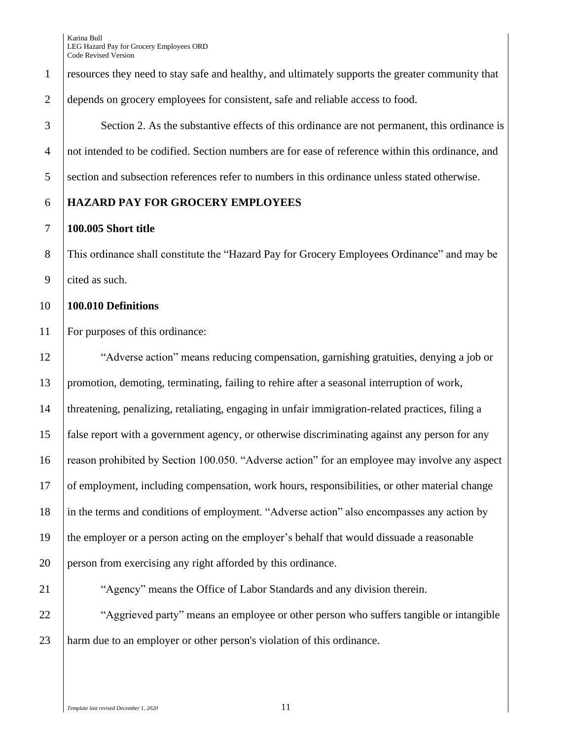|                | Code Revised Version                                                                              |
|----------------|---------------------------------------------------------------------------------------------------|
| $\mathbf{1}$   | resources they need to stay safe and healthy, and ultimately supports the greater community that  |
| $\mathbf{2}$   | depends on grocery employees for consistent, safe and reliable access to food.                    |
| 3              | Section 2. As the substantive effects of this ordinance are not permanent, this ordinance is      |
| 4              | not intended to be codified. Section numbers are for ease of reference within this ordinance, and |
| 5              | section and subsection references refer to numbers in this ordinance unless stated otherwise.     |
| 6              | <b>HAZARD PAY FOR GROCERY EMPLOYEES</b>                                                           |
| 7              | 100.005 Short title                                                                               |
| $8\,$          | This ordinance shall constitute the "Hazard Pay for Grocery Employees Ordinance" and may be       |
| 9              | cited as such.                                                                                    |
| $\overline{0}$ | 100.010 Definitions                                                                               |
| $\mathbf{1}$   | For purposes of this ordinance:                                                                   |
| $\mathbf{2}$   | "Adverse action" means reducing compensation, garnishing gratuities, denying a job or             |
| 3              | promotion, demoting, terminating, failing to rehire after a seasonal interruption of work,        |
| $\overline{4}$ | threatening, penalizing, retaliating, engaging in unfair immigration-related practices, filing a  |
| 5              | false report with a government agency, or otherwise discriminating against any person for any     |
| 6              | reason prohibited by Section 100.050. "Adverse action" for an employee may involve any aspect     |
| 7              | of employment, including compensation, work hours, responsibilities, or other material change     |
| 8              | in the terms and conditions of employment. "Adverse action" also encompasses any action by        |
| 9              | the employer or a person acting on the employer's behalf that would dissuade a reasonable         |
| $\overline{0}$ | person from exercising any right afforded by this ordinance.                                      |
| $\overline{1}$ | "Agency" means the Office of Labor Standards and any division therein.                            |
| $\overline{2}$ | "Aggrieved party" means an employee or other person who suffers tangible or intangible            |
| $\frac{1}{3}$  | harm due to an employer or other person's violation of this ordinance.                            |

# **HAZARD PAY FOR GROCERY EMPLOYEES**

# **100.005 Short title**

# **100.010 Definitions**

22 | "Aggrieved party" means an employee or other person who suffers tangible or intangible harm due to an employer or other person's violation of this ordinance.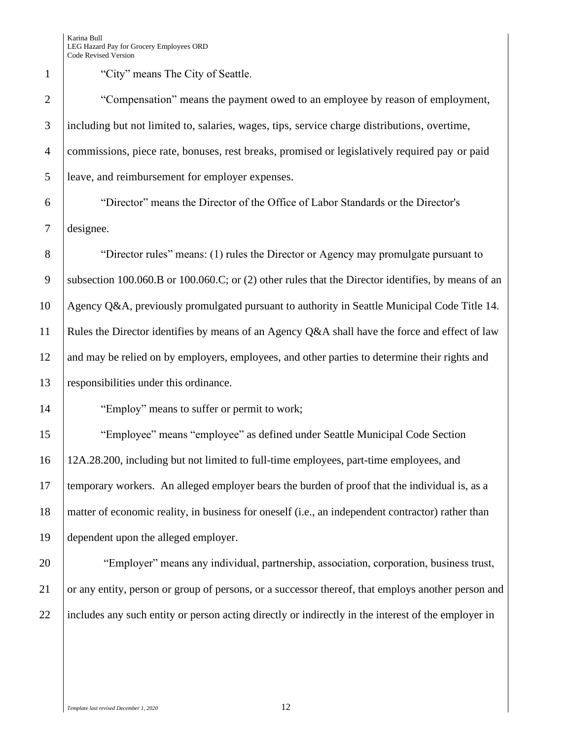1 "City" means The City of Seattle.

 "Compensation" means the payment owed to an employee by reason of employment, including but not limited to, salaries, wages, tips, service charge distributions, overtime, commissions, piece rate, bonuses, rest breaks, promised or legislatively required pay or paid leave, and reimbursement for employer expenses.

 "Director" means the Director of the Office of Labor Standards or the Director's designee.

 "Director rules" means: (1) rules the Director or Agency may promulgate pursuant to 9 Subsection 100.060.B or 100.060.C; or (2) other rules that the Director identifies, by means of an Agency Q&A, previously promulgated pursuant to authority in Seattle Municipal Code Title 14. Rules the Director identifies by means of an Agency Q&A shall have the force and effect of law 12 and may be relied on by employers, employees, and other parties to determine their rights and responsibilities under this ordinance.

14 | "Employ" means to suffer or permit to work;

 "Employee" means "employee" as defined under Seattle Municipal Code Section 12A.28.200, including but not limited to full-time employees, part-time employees, and temporary workers. An alleged employer bears the burden of proof that the individual is, as a matter of economic reality, in business for oneself (i.e., an independent contractor) rather than dependent upon the alleged employer.

20 The "Employer" means any individual, partnership, association, corporation, business trust, or any entity, person or group of persons, or a successor thereof, that employs another person and 22 includes any such entity or person acting directly or indirectly in the interest of the employer in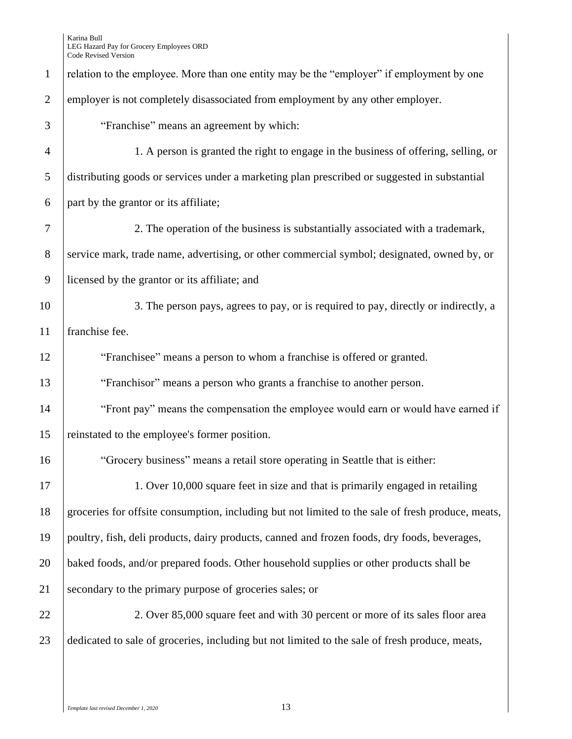| $\mathbf{1}$   | relation to the employee. More than one entity may be the "employer" if employment by one         |
|----------------|---------------------------------------------------------------------------------------------------|
| $\overline{2}$ | employer is not completely disassociated from employment by any other employer.                   |
| 3              | "Franchise" means an agreement by which:                                                          |
| $\overline{4}$ | 1. A person is granted the right to engage in the business of offering, selling, or               |
| 5              | distributing goods or services under a marketing plan prescribed or suggested in substantial      |
| 6              | part by the grantor or its affiliate;                                                             |
| 7              | 2. The operation of the business is substantially associated with a trademark,                    |
| 8              | service mark, trade name, advertising, or other commercial symbol; designated, owned by, or       |
| 9              | licensed by the grantor or its affiliate; and                                                     |
| 10             | 3. The person pays, agrees to pay, or is required to pay, directly or indirectly, a               |
| 11             | franchise fee.                                                                                    |
| 12             | "Franchisee" means a person to whom a franchise is offered or granted.                            |
| 13             | "Franchisor" means a person who grants a franchise to another person.                             |
| 14             | "Front pay" means the compensation the employee would earn or would have earned if                |
| 15             | reinstated to the employee's former position.                                                     |
| 16             | "Grocery business" means a retail store operating in Seattle that is either:                      |
| 17             | 1. Over 10,000 square feet in size and that is primarily engaged in retailing                     |
| 18             | groceries for offsite consumption, including but not limited to the sale of fresh produce, meats, |
| 19             | poultry, fish, deli products, dairy products, canned and frozen foods, dry foods, beverages,      |
| 20             | baked foods, and/or prepared foods. Other household supplies or other products shall be           |
| 21             | secondary to the primary purpose of groceries sales; or                                           |
| 22             | 2. Over 85,000 square feet and with 30 percent or more of its sales floor area                    |
| 23             | dedicated to sale of groceries, including but not limited to the sale of fresh produce, meats,    |
|                |                                                                                                   |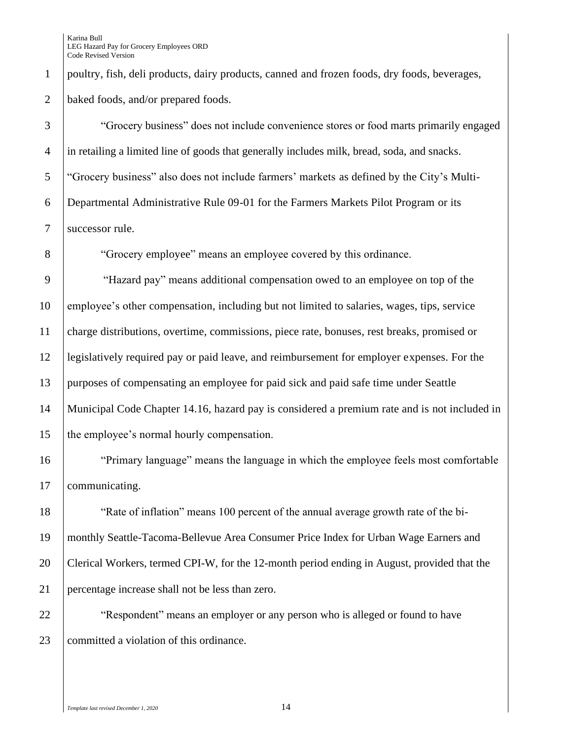poultry, fish, deli products, dairy products, canned and frozen foods, dry foods, beverages, 2 baked foods, and/or prepared foods.

 "Grocery business" does not include convenience stores or food marts primarily engaged in retailing a limited line of goods that generally includes milk, bread, soda, and snacks. "Grocery business" also does not include farmers' markets as defined by the City's Multi- Departmental Administrative Rule 09-01 for the Farmers Markets Pilot Program or its successor rule.

8 "Grocery employee" means an employee covered by this ordinance.

 "Hazard pay" means additional compensation owed to an employee on top of the employee's other compensation, including but not limited to salaries, wages, tips, service charge distributions, overtime, commissions, piece rate, bonuses, rest breaks, promised or legislatively required pay or paid leave, and reimbursement for employer expenses. For the purposes of compensating an employee for paid sick and paid safe time under Seattle Municipal Code Chapter 14.16, hazard pay is considered a premium rate and is not included in 15 the employee's normal hourly compensation.

 "Primary language" means the language in which the employee feels most comfortable communicating.

**The State of inflation** means 100 percent of the annual average growth rate of the bi- monthly Seattle-Tacoma-Bellevue Area Consumer Price Index for Urban Wage Earners and Clerical Workers, termed CPI-W, for the 12-month period ending in August, provided that the percentage increase shall not be less than zero.

**Wesh** "Respondent" means an employer or any person who is alleged or found to have 23 committed a violation of this ordinance.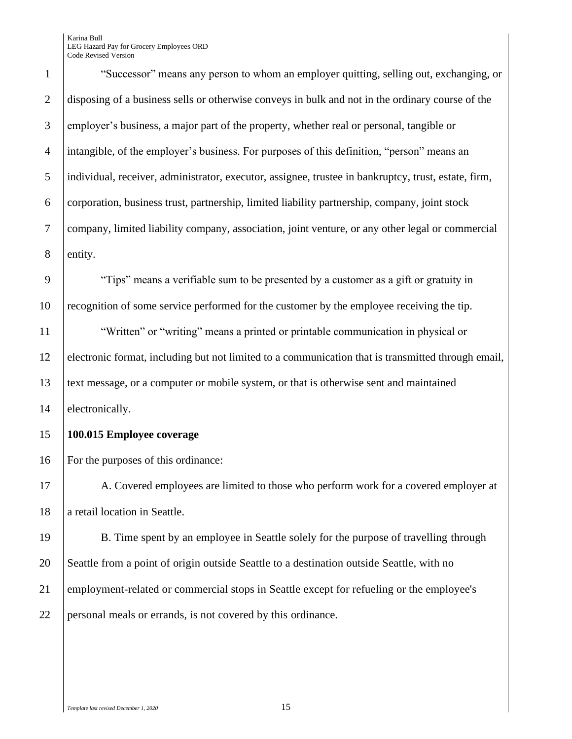### Karina Bull LEG Hazard Pay for Grocery Employees ORD

Code Revised Version "Successor" means any person to whom an employer quitting, selling out, exchanging, or disposing of a business sells or otherwise conveys in bulk and not in the ordinary course of the employer's business, a major part of the property, whether real or personal, tangible or intangible, of the employer's business. For purposes of this definition, "person" means an individual, receiver, administrator, executor, assignee, trustee in bankruptcy, trust, estate, firm, corporation, business trust, partnership, limited liability partnership, company, joint stock company, limited liability company, association, joint venture, or any other legal or commercial entity. 9 Tips" means a verifiable sum to be presented by a customer as a gift or gratuity in recognition of some service performed for the customer by the employee receiving the tip. "Written" or "writing" means a printed or printable communication in physical or electronic format, including but not limited to a communication that is transmitted through email, text message, or a computer or mobile system, or that is otherwise sent and maintained 14 electronically. **100.015 Employee coverage** For the purposes of this ordinance: 17 A. Covered employees are limited to those who perform work for a covered employer at 18 a retail location in Seattle. 19 B. Time spent by an employee in Seattle solely for the purpose of travelling through 20 Seattle from a point of origin outside Seattle to a destination outside Seattle, with no employment-related or commercial stops in Seattle except for refueling or the employee's

personal meals or errands, is not covered by this ordinance.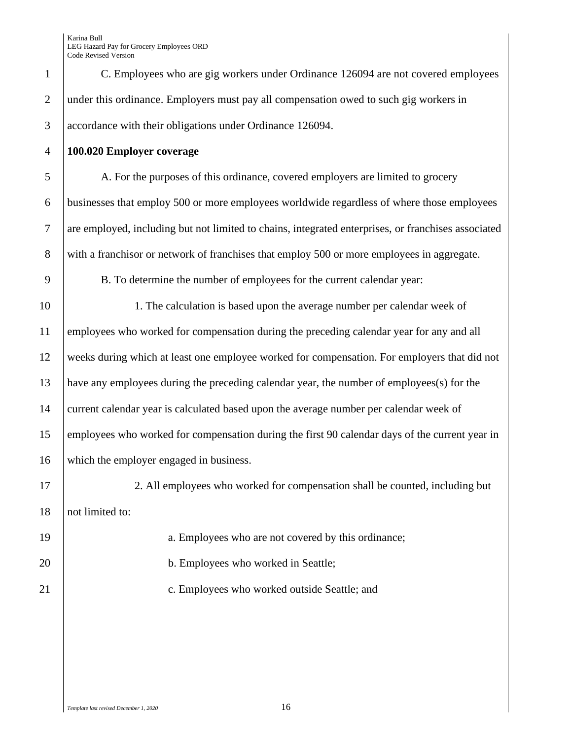1 C. Employees who are gig workers under Ordinance 126094 are not covered employees 2 under this ordinance. Employers must pay all compensation owed to such gig workers in 3 accordance with their obligations under Ordinance 126094.

4 **100.020 Employer coverage**

 A. For the purposes of this ordinance, covered employers are limited to grocery businesses that employ 500 or more employees worldwide regardless of where those employees are employed, including but not limited to chains, integrated enterprises, or franchises associated 8 with a franchisor or network of franchises that employ 500 or more employees in aggregate.

9 B. To determine the number of employees for the current calendar year:

10 1. The calculation is based upon the average number per calendar week of employees who worked for compensation during the preceding calendar year for any and all weeks during which at least one employee worked for compensation. For employers that did not have any employees during the preceding calendar year, the number of employees(s) for the current calendar year is calculated based upon the average number per calendar week of employees who worked for compensation during the first 90 calendar days of the current year in which the employer engaged in business.

17 2. All employees who worked for compensation shall be counted, including but 18 | not limited to:

19 a. Employees who are not covered by this ordinance; 20 b. Employees who worked in Seattle; 21 **c. Employees who worked outside Seattle; and**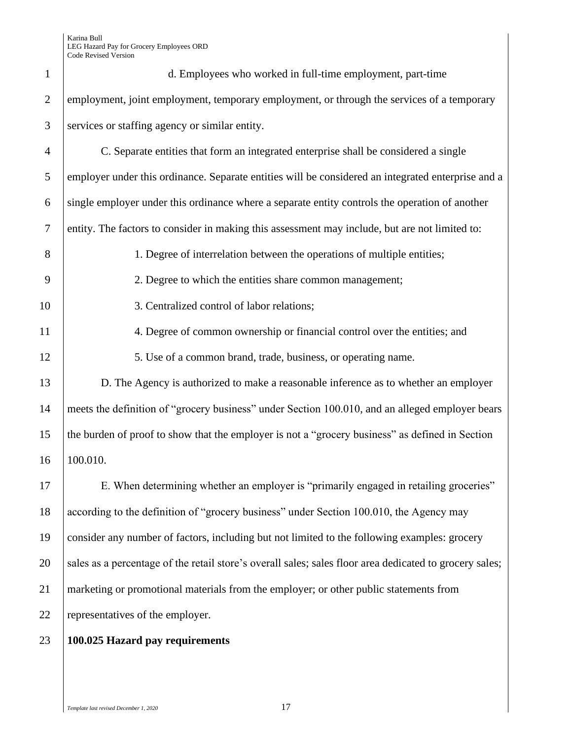| $\mathbf{1}$   | d. Employees who worked in full-time employment, part-time                                              |
|----------------|---------------------------------------------------------------------------------------------------------|
| $\overline{2}$ | employment, joint employment, temporary employment, or through the services of a temporary              |
| 3              | services or staffing agency or similar entity.                                                          |
| 4              | C. Separate entities that form an integrated enterprise shall be considered a single                    |
| 5              | employer under this ordinance. Separate entities will be considered an integrated enterprise and a      |
| 6              | single employer under this ordinance where a separate entity controls the operation of another          |
| $\overline{7}$ | entity. The factors to consider in making this assessment may include, but are not limited to:          |
| 8              | 1. Degree of interrelation between the operations of multiple entities;                                 |
| 9              | 2. Degree to which the entities share common management;                                                |
| 10             | 3. Centralized control of labor relations;                                                              |
| 11             | 4. Degree of common ownership or financial control over the entities; and                               |
| 12             | 5. Use of a common brand, trade, business, or operating name.                                           |
| 13             | D. The Agency is authorized to make a reasonable inference as to whether an employer                    |
| 14             | meets the definition of "grocery business" under Section 100.010, and an alleged employer bears         |
| 15             | the burden of proof to show that the employer is not a "grocery business" as defined in Section         |
| 16             | 100.010.                                                                                                |
| 17             | E. When determining whether an employer is "primarily engaged in retailing groceries"                   |
| 18             | according to the definition of "grocery business" under Section 100.010, the Agency may                 |
| 19             | consider any number of factors, including but not limited to the following examples: grocery            |
| 20             | sales as a percentage of the retail store's overall sales; sales floor area dedicated to grocery sales; |
| 21             | marketing or promotional materials from the employer; or other public statements from                   |
| 22             | representatives of the employer.                                                                        |
| 23             | 100.025 Hazard pay requirements                                                                         |
|                |                                                                                                         |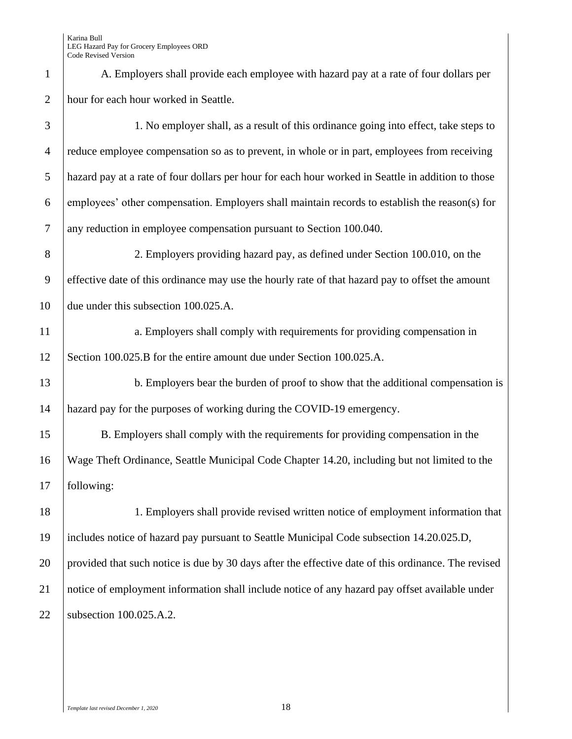A. Employers shall provide each employee with hazard pay at a rate of four dollars per hour for each hour worked in Seattle.

 1. No employer shall, as a result of this ordinance going into effect, take steps to reduce employee compensation so as to prevent, in whole or in part, employees from receiving hazard pay at a rate of four dollars per hour for each hour worked in Seattle in addition to those employees' other compensation. Employers shall maintain records to establish the reason(s) for any reduction in employee compensation pursuant to Section 100.040.

 2. Employers providing hazard pay, as defined under Section 100.010, on the effective date of this ordinance may use the hourly rate of that hazard pay to offset the amount due under this subsection 100.025.A.

11 a. Employers shall comply with requirements for providing compensation in Section 100.025.B for the entire amount due under Section 100.025.A.

13 b. Employers bear the burden of proof to show that the additional compensation is hazard pay for the purposes of working during the COVID-19 emergency.

 B. Employers shall comply with the requirements for providing compensation in the Wage Theft Ordinance, Seattle Municipal Code Chapter 14.20, including but not limited to the following:

18 18 1. Employers shall provide revised written notice of employment information that includes notice of hazard pay pursuant to Seattle Municipal Code subsection 14.20.025.D, provided that such notice is due by 30 days after the effective date of this ordinance. The revised notice of employment information shall include notice of any hazard pay offset available under 22 | subsection 100.025.A.2.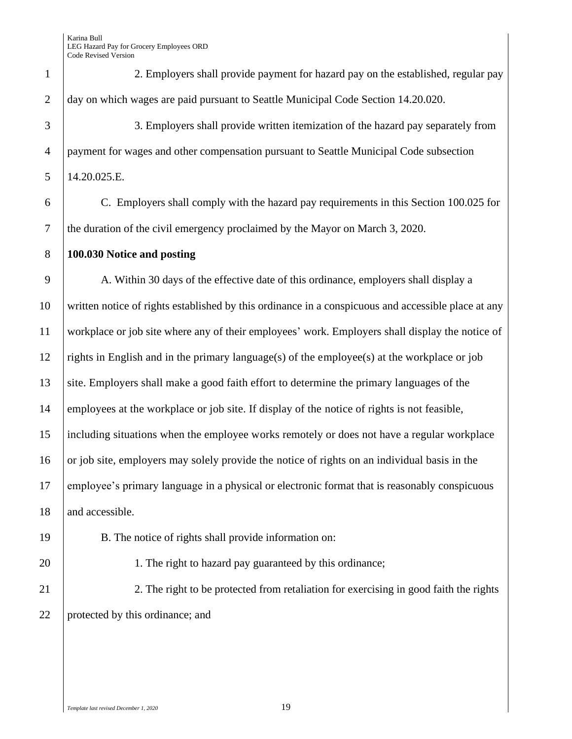2. Employers shall provide payment for hazard pay on the established, regular pay day on which wages are paid pursuant to Seattle Municipal Code Section 14.20.020. 3. Employers shall provide written itemization of the hazard pay separately from payment for wages and other compensation pursuant to Seattle Municipal Code subsection 14.20.025.E. C. Employers shall comply with the hazard pay requirements in this Section 100.025 for the duration of the civil emergency proclaimed by the Mayor on March 3, 2020. **100.030 Notice and posting** A. Within 30 days of the effective date of this ordinance, employers shall display a written notice of rights established by this ordinance in a conspicuous and accessible place at any workplace or job site where any of their employees' work. Employers shall display the notice of 12 rights in English and in the primary language(s) of the employee(s) at the workplace or job site. Employers shall make a good faith effort to determine the primary languages of the 14 employees at the workplace or job site. If display of the notice of rights is not feasible, including situations when the employee works remotely or does not have a regular workplace 16 or job site, employers may solely provide the notice of rights on an individual basis in the employee's primary language in a physical or electronic format that is reasonably conspicuous 18 and accessible. 19 B. The notice of rights shall provide information on: 20 1. The right to hazard pay guaranteed by this ordinance; 21 2. The right to be protected from retaliation for exercising in good faith the rights 22 | protected by this ordinance; and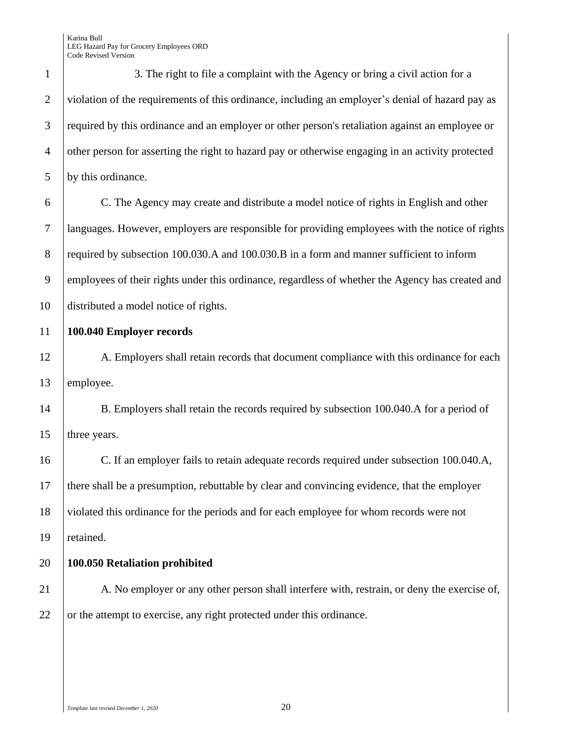3. The right to file a complaint with the Agency or bring a civil action for a 2 violation of the requirements of this ordinance, including an employer's denial of hazard pay as required by this ordinance and an employer or other person's retaliation against an employee or other person for asserting the right to hazard pay or otherwise engaging in an activity protected by this ordinance. C. The Agency may create and distribute a model notice of rights in English and other

7 languages. However, employers are responsible for providing employees with the notice of rights 8 required by subsection 100.030.A and 100.030.B in a form and manner sufficient to inform 9 employees of their rights under this ordinance, regardless of whether the Agency has created and 10 distributed a model notice of rights.

11 **100.040 Employer records** 

12 A. Employers shall retain records that document compliance with this ordinance for each 13 employee.

14 B. Employers shall retain the records required by subsection 100.040. A for a period of 15 three years.

 C. If an employer fails to retain adequate records required under subsection 100.040.A, there shall be a presumption, rebuttable by clear and convincing evidence, that the employer violated this ordinance for the periods and for each employee for whom records were not retained.

20 **100.050 Retaliation prohibited** 

21 A. No employer or any other person shall interfere with, restrain, or deny the exercise of,  $22$  or the attempt to exercise, any right protected under this ordinance.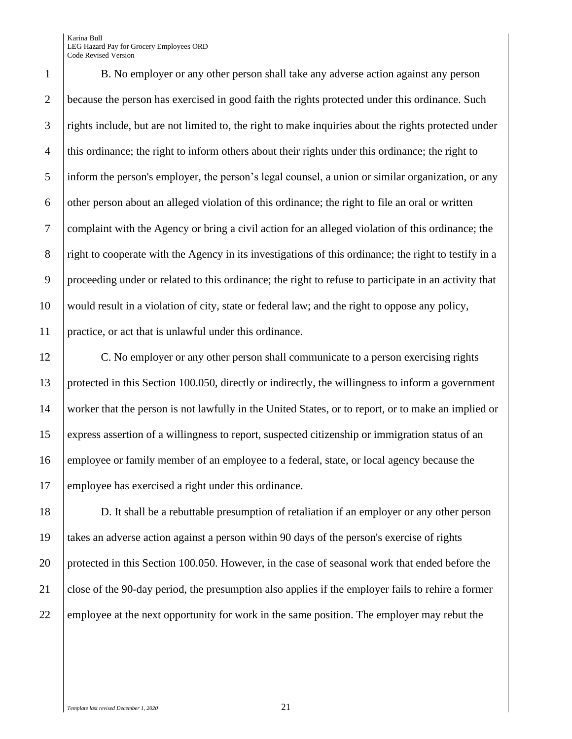B. No employer or any other person shall take any adverse action against any person because the person has exercised in good faith the rights protected under this ordinance. Such rights include, but are not limited to, the right to make inquiries about the rights protected under 4 this ordinance; the right to inform others about their rights under this ordinance; the right to inform the person's employer, the person's legal counsel, a union or similar organization, or any  $\overline{6}$  other person about an alleged violation of this ordinance; the right to file an oral or written complaint with the Agency or bring a civil action for an alleged violation of this ordinance; the 8 right to cooperate with the Agency in its investigations of this ordinance; the right to testify in a proceeding under or related to this ordinance; the right to refuse to participate in an activity that would result in a violation of city, state or federal law; and the right to oppose any policy, practice, or act that is unlawful under this ordinance.

 C. No employer or any other person shall communicate to a person exercising rights protected in this Section 100.050, directly or indirectly, the willingness to inform a government worker that the person is not lawfully in the United States, or to report, or to make an implied or express assertion of a willingness to report, suspected citizenship or immigration status of an employee or family member of an employee to a federal, state, or local agency because the employee has exercised a right under this ordinance.

 D. It shall be a rebuttable presumption of retaliation if an employer or any other person takes an adverse action against a person within 90 days of the person's exercise of rights protected in this Section 100.050. However, in the case of seasonal work that ended before the close of the 90-day period, the presumption also applies if the employer fails to rehire a former 22 employee at the next opportunity for work in the same position. The employer may rebut the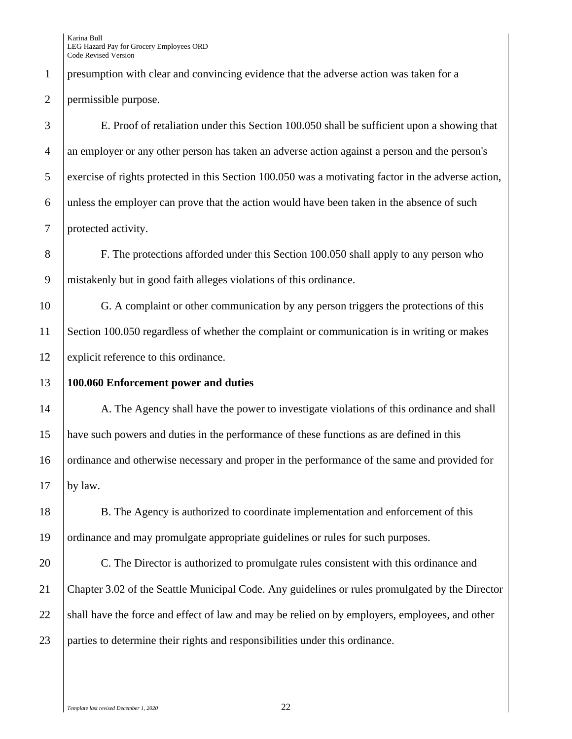presumption with clear and convincing evidence that the adverse action was taken for a permissible purpose.

 E. Proof of retaliation under this Section 100.050 shall be sufficient upon a showing that an employer or any other person has taken an adverse action against a person and the person's exercise of rights protected in this Section 100.050 was a motivating factor in the adverse action, unless the employer can prove that the action would have been taken in the absence of such protected activity.

 F. The protections afforded under this Section 100.050 shall apply to any person who mistakenly but in good faith alleges violations of this ordinance.

 G. A complaint or other communication by any person triggers the protections of this Section 100.050 regardless of whether the complaint or communication is in writing or makes explicit reference to this ordinance.

### **100.060 Enforcement power and duties**

14 A. The Agency shall have the power to investigate violations of this ordinance and shall have such powers and duties in the performance of these functions as are defined in this ordinance and otherwise necessary and proper in the performance of the same and provided for by law.

 B. The Agency is authorized to coordinate implementation and enforcement of this ordinance and may promulgate appropriate guidelines or rules for such purposes.

20 C. The Director is authorized to promulgate rules consistent with this ordinance and Chapter 3.02 of the Seattle Municipal Code. Any guidelines or rules promulgated by the Director 22 shall have the force and effect of law and may be relied on by employers, employees, and other parties to determine their rights and responsibilities under this ordinance.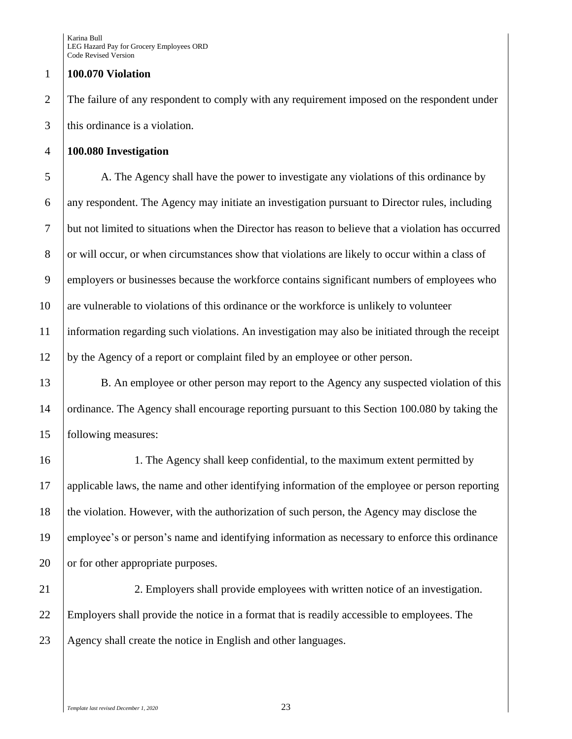### 1 **100.070 Violation**

2 The failure of any respondent to comply with any requirement imposed on the respondent under 3 this ordinance is a violation.

4 **100.080 Investigation** 

5 A. The Agency shall have the power to investigate any violations of this ordinance by 6 any respondent. The Agency may initiate an investigation pursuant to Director rules, including 7 but not limited to situations when the Director has reason to believe that a violation has occurred 8 or will occur, or when circumstances show that violations are likely to occur within a class of 9 employers or businesses because the workforce contains significant numbers of employees who 10 are vulnerable to violations of this ordinance or the workforce is unlikely to volunteer 11 information regarding such violations. An investigation may also be initiated through the receipt 12 by the Agency of a report or complaint filed by an employee or other person.

13 B. An employee or other person may report to the Agency any suspected violation of this 14 ordinance. The Agency shall encourage reporting pursuant to this Section 100.080 by taking the 15 following measures:

16 16 1. The Agency shall keep confidential, to the maximum extent permitted by 17 applicable laws, the name and other identifying information of the employee or person reporting 18 the violation. However, with the authorization of such person, the Agency may disclose the 19 employee's or person's name and identifying information as necessary to enforce this ordinance 20 or for other appropriate purposes.

21 2. Employers shall provide employees with written notice of an investigation. 22 Employers shall provide the notice in a format that is readily accessible to employees. The 23 Agency shall create the notice in English and other languages.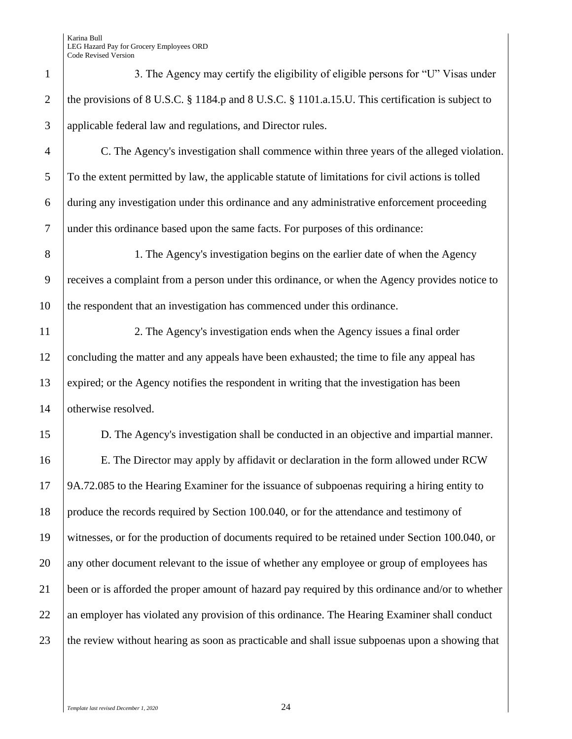| $\mathbf{1}$   | 3. The Agency may certify the eligibility of eligible persons for "U" Visas under                 |
|----------------|---------------------------------------------------------------------------------------------------|
| $\overline{2}$ | the provisions of 8 U.S.C. § 1184.p and 8 U.S.C. § 1101.a.15.U. This certification is subject to  |
| 3              | applicable federal law and regulations, and Director rules.                                       |
| $\overline{4}$ | C. The Agency's investigation shall commence within three years of the alleged violation.         |
| 5              | To the extent permitted by law, the applicable statute of limitations for civil actions is tolled |
| 6              | during any investigation under this ordinance and any administrative enforcement proceeding       |
| $\overline{7}$ | under this ordinance based upon the same facts. For purposes of this ordinance:                   |
| 8              | 1. The Agency's investigation begins on the earlier date of when the Agency                       |
| 9              | receives a complaint from a person under this ordinance, or when the Agency provides notice to    |
| 10             | the respondent that an investigation has commenced under this ordinance.                          |
| 11             | 2. The Agency's investigation ends when the Agency issues a final order                           |
| 12             | concluding the matter and any appeals have been exhausted; the time to file any appeal has        |
| 13             | expired; or the Agency notifies the respondent in writing that the investigation has been         |
| 14             | otherwise resolved.                                                                               |
| 15             | D. The Agency's investigation shall be conducted in an objective and impartial manner.            |
| 16             | E. The Director may apply by affidavit or declaration in the form allowed under RCW               |
| 17             | 9A.72.085 to the Hearing Examiner for the issuance of subpoenas requiring a hiring entity to      |
| 18             | produce the records required by Section 100.040, or for the attendance and testimony of           |
| 19             | witnesses, or for the production of documents required to be retained under Section 100.040, or   |
| 20             | any other document relevant to the issue of whether any employee or group of employees has        |
| 21             | been or is afforded the proper amount of hazard pay required by this ordinance and/or to whether  |
| 22             | an employer has violated any provision of this ordinance. The Hearing Examiner shall conduct      |
| 23             | the review without hearing as soon as practicable and shall issue subpoenas upon a showing that   |
|                |                                                                                                   |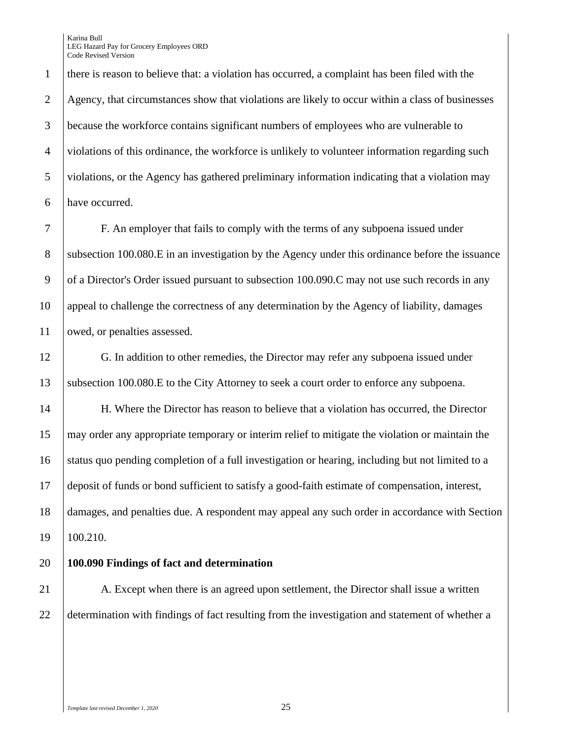there is reason to believe that: a violation has occurred, a complaint has been filed with the 2 Agency, that circumstances show that violations are likely to occur within a class of businesses because the workforce contains significant numbers of employees who are vulnerable to violations of this ordinance, the workforce is unlikely to volunteer information regarding such violations, or the Agency has gathered preliminary information indicating that a violation may have occurred.

7 F. An employer that fails to comply with the terms of any subpoena issued under 8 subsection 100.080.E in an investigation by the Agency under this ordinance before the issuance 9 of a Director's Order issued pursuant to subsection 100.090.C may not use such records in any 10 appeal to challenge the correctness of any determination by the Agency of liability, damages 11 | owed, or penalties assessed.

12 G. In addition to other remedies, the Director may refer any subpoena issued under 13 subsection 100.080.E to the City Attorney to seek a court order to enforce any subpoena.

 H. Where the Director has reason to believe that a violation has occurred, the Director may order any appropriate temporary or interim relief to mitigate the violation or maintain the 16 status quo pending completion of a full investigation or hearing, including but not limited to a deposit of funds or bond sufficient to satisfy a good-faith estimate of compensation, interest, damages, and penalties due. A respondent may appeal any such order in accordance with Section 19 100.210.

### 20 **100.090 Findings of fact and determination**

21 A. Except when there is an agreed upon settlement, the Director shall issue a written 22 determination with findings of fact resulting from the investigation and statement of whether a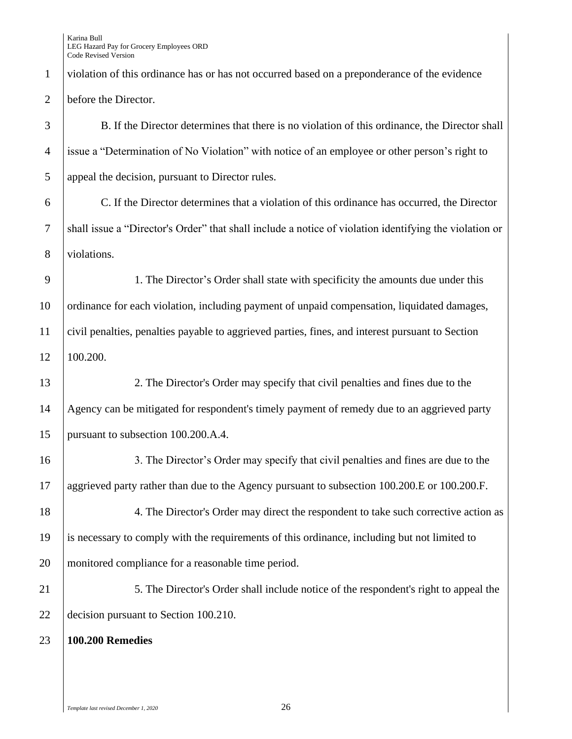violation of this ordinance has or has not occurred based on a preponderance of the evidence before the Director. B. If the Director determines that there is no violation of this ordinance, the Director shall issue a "Determination of No Violation" with notice of an employee or other person's right to 5 appeal the decision, pursuant to Director rules. C. If the Director determines that a violation of this ordinance has occurred, the Director shall issue a "Director's Order" that shall include a notice of violation identifying the violation or violations. 1. The Director's Order shall state with specificity the amounts due under this 10 | ordinance for each violation, including payment of unpaid compensation, liquidated damages, civil penalties, penalties payable to aggrieved parties, fines, and interest pursuant to Section 100.200. 2. The Director's Order may specify that civil penalties and fines due to the Agency can be mitigated for respondent's timely payment of remedy due to an aggrieved party pursuant to subsection 100.200.A.4. 3. The Director's Order may specify that civil penalties and fines are due to the 17 aggrieved party rather than due to the Agency pursuant to subsection 100.200.E or 100.200.F. 18 18 4. The Director's Order may direct the respondent to take such corrective action as is necessary to comply with the requirements of this ordinance, including but not limited to monitored compliance for a reasonable time period. 21 5. The Director's Order shall include notice of the respondent's right to appeal the **decision pursuant to Section 100.210. 100.200 Remedies**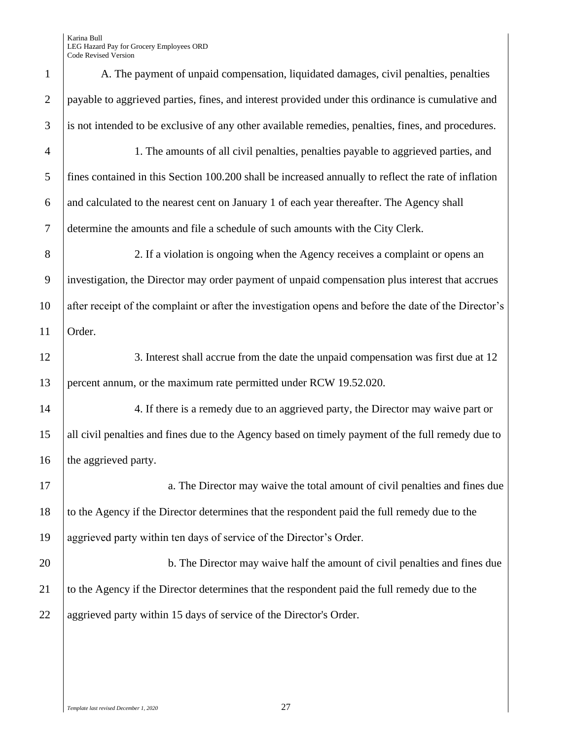| $\mathbf{1}$   | A. The payment of unpaid compensation, liquidated damages, civil penalties, penalties                 |
|----------------|-------------------------------------------------------------------------------------------------------|
| $\overline{2}$ | payable to aggrieved parties, fines, and interest provided under this ordinance is cumulative and     |
| 3              | is not intended to be exclusive of any other available remedies, penalties, fines, and procedures.    |
| $\overline{4}$ | 1. The amounts of all civil penalties, penalties payable to aggrieved parties, and                    |
| 5              | fines contained in this Section 100.200 shall be increased annually to reflect the rate of inflation  |
| 6              | and calculated to the nearest cent on January 1 of each year thereafter. The Agency shall             |
| $\tau$         | determine the amounts and file a schedule of such amounts with the City Clerk.                        |
| 8              | 2. If a violation is ongoing when the Agency receives a complaint or opens an                         |
| 9              | investigation, the Director may order payment of unpaid compensation plus interest that accrues       |
| 10             | after receipt of the complaint or after the investigation opens and before the date of the Director's |
| 11             | Order.                                                                                                |
| 12             | 3. Interest shall accrue from the date the unpaid compensation was first due at 12                    |
| 13             | percent annum, or the maximum rate permitted under RCW 19.52.020.                                     |
| 14             | 4. If there is a remedy due to an aggrieved party, the Director may waive part or                     |
| 15             | all civil penalties and fines due to the Agency based on timely payment of the full remedy due to     |
| 16             | the aggrieved party.                                                                                  |
| 17             | a. The Director may waive the total amount of civil penalties and fines due                           |
| 18             | to the Agency if the Director determines that the respondent paid the full remedy due to the          |
| 19             | aggrieved party within ten days of service of the Director's Order.                                   |
| 20             | b. The Director may waive half the amount of civil penalties and fines due                            |
| 21             | to the Agency if the Director determines that the respondent paid the full remedy due to the          |
| 22             | aggrieved party within 15 days of service of the Director's Order.                                    |
|                |                                                                                                       |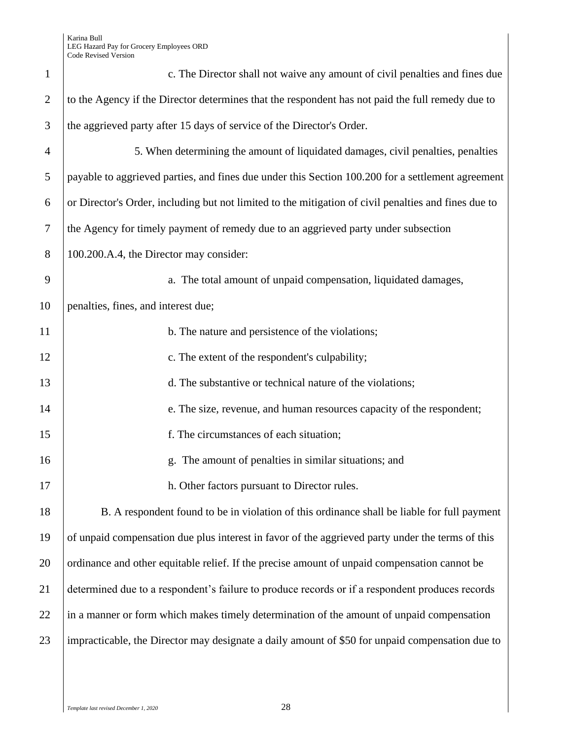| $\mathbf{1}$   | c. The Director shall not waive any amount of civil penalties and fines due                          |
|----------------|------------------------------------------------------------------------------------------------------|
| $\overline{2}$ | to the Agency if the Director determines that the respondent has not paid the full remedy due to     |
| 3              | the aggrieved party after 15 days of service of the Director's Order.                                |
| $\overline{4}$ | 5. When determining the amount of liquidated damages, civil penalties, penalties                     |
| 5              | payable to aggrieved parties, and fines due under this Section 100.200 for a settlement agreement    |
| 6              | or Director's Order, including but not limited to the mitigation of civil penalties and fines due to |
| 7              | the Agency for timely payment of remedy due to an aggrieved party under subsection                   |
| 8              | 100.200.A.4, the Director may consider:                                                              |
| 9              | a. The total amount of unpaid compensation, liquidated damages,                                      |
| 10             | penalties, fines, and interest due;                                                                  |
| 11             | b. The nature and persistence of the violations;                                                     |
| 12             | c. The extent of the respondent's culpability;                                                       |
| 13             | d. The substantive or technical nature of the violations;                                            |
| 14             | e. The size, revenue, and human resources capacity of the respondent;                                |
| 15             | f. The circumstances of each situation;                                                              |
| 16             | The amount of penalties in similar situations; and<br>g.                                             |
| 17             | h. Other factors pursuant to Director rules.                                                         |
| 18             | B. A respondent found to be in violation of this ordinance shall be liable for full payment          |
| 19             | of unpaid compensation due plus interest in favor of the aggrieved party under the terms of this     |
| 20             | ordinance and other equitable relief. If the precise amount of unpaid compensation cannot be         |
| 21             | determined due to a respondent's failure to produce records or if a respondent produces records      |
| 22             | in a manner or form which makes timely determination of the amount of unpaid compensation            |
| 23             | impracticable, the Director may designate a daily amount of \$50 for unpaid compensation due to      |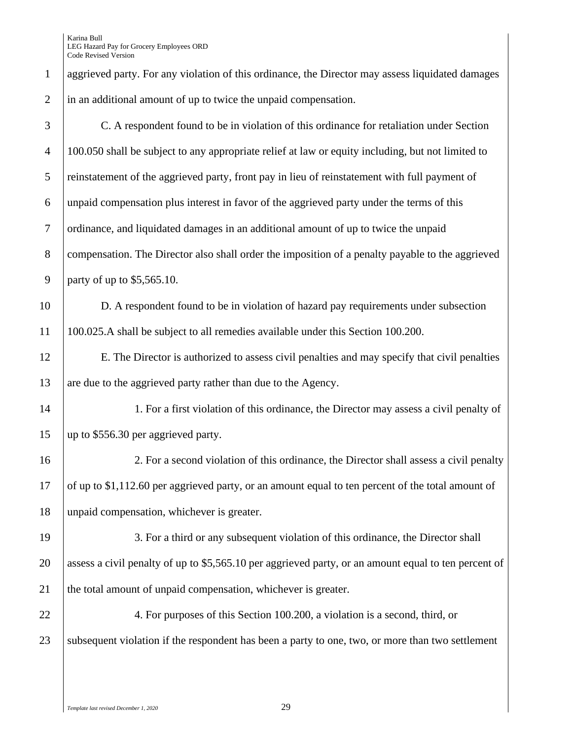| $\mathbf{1}$   | aggrieved party. For any violation of this ordinance, the Director may assess liquidated damages     |
|----------------|------------------------------------------------------------------------------------------------------|
| $\overline{2}$ | in an additional amount of up to twice the unpaid compensation.                                      |
| 3              | C. A respondent found to be in violation of this ordinance for retaliation under Section             |
| $\overline{4}$ | 100.050 shall be subject to any appropriate relief at law or equity including, but not limited to    |
| 5              | reinstatement of the aggrieved party, front pay in lieu of reinstatement with full payment of        |
| 6              | unpaid compensation plus interest in favor of the aggrieved party under the terms of this            |
| $\tau$         | ordinance, and liquidated damages in an additional amount of up to twice the unpaid                  |
| 8              | compensation. The Director also shall order the imposition of a penalty payable to the aggrieved     |
| 9              | party of up to \$5,565.10.                                                                           |
| 10             | D. A respondent found to be in violation of hazard pay requirements under subsection                 |
| 11             | 100.025.A shall be subject to all remedies available under this Section 100.200.                     |
| 12             | E. The Director is authorized to assess civil penalties and may specify that civil penalties         |
| 13             | are due to the aggrieved party rather than due to the Agency.                                        |
| 14             | 1. For a first violation of this ordinance, the Director may assess a civil penalty of               |
| 15             | up to \$556.30 per aggrieved party.                                                                  |
| 16             | 2. For a second violation of this ordinance, the Director shall assess a civil penalty               |
| 17             | of up to \$1,112.60 per aggrieved party, or an amount equal to ten percent of the total amount of    |
| 18             | unpaid compensation, whichever is greater.                                                           |
| 19             | 3. For a third or any subsequent violation of this ordinance, the Director shall                     |
| 20             | assess a civil penalty of up to \$5,565.10 per aggrieved party, or an amount equal to ten percent of |
| 21             | the total amount of unpaid compensation, whichever is greater.                                       |
| 22             | 4. For purposes of this Section 100.200, a violation is a second, third, or                          |
| 23             | subsequent violation if the respondent has been a party to one, two, or more than two settlement     |
|                |                                                                                                      |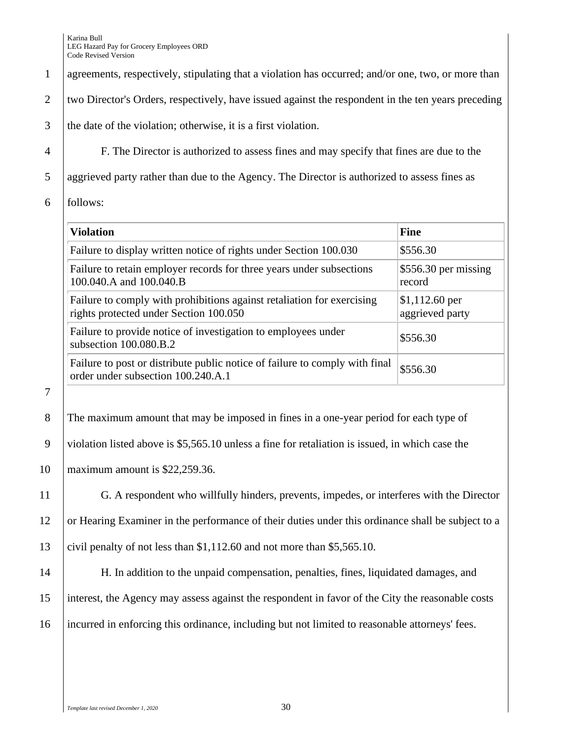- 2 two Director's Orders, respectively, have issued against the respondent in the ten years preceding
- $3$  the date of the violation; otherwise, it is a first violation.
- 4 F. The Director is authorized to assess fines and may specify that fines are due to the
- 5 aggrieved party rather than due to the Agency. The Director is authorized to assess fines as
- 6 follows:

| <b>Violation</b>                                                                                                  | <b>Fine</b>                        |
|-------------------------------------------------------------------------------------------------------------------|------------------------------------|
| Failure to display written notice of rights under Section 100.030                                                 | \$556.30                           |
| Failure to retain employer records for three years under subsections<br>100.040.A and 100.040.B                   | $$556.30$ per missing<br>record    |
| Failure to comply with prohibitions against retaliation for exercising<br>rights protected under Section 100.050  | $$1,112.60$ per<br>aggrieved party |
| Failure to provide notice of investigation to employees under<br>subsection $100.080.B.2$                         | \$556.30                           |
| Failure to post or distribute public notice of failure to comply with final<br>order under subsection 100.240.A.1 | \$556.30                           |

7

8 The maximum amount that may be imposed in fines in a one-year period for each type of

9 violation listed above is \$5,565.10 unless a fine for retaliation is issued, in which case the

10 maximum amount is \$22,259.36.

11 G. A respondent who willfully hinders, prevents, impedes, or interferes with the Director 12 or Hearing Examiner in the performance of their duties under this ordinance shall be subject to a 13 civil penalty of not less than \$1,112.60 and not more than \$5,565.10. 14 H. In addition to the unpaid compensation, penalties, fines, liquidated damages, and 15 interest, the Agency may assess against the respondent in favor of the City the reasonable costs

16 incurred in enforcing this ordinance, including but not limited to reasonable attorneys' fees.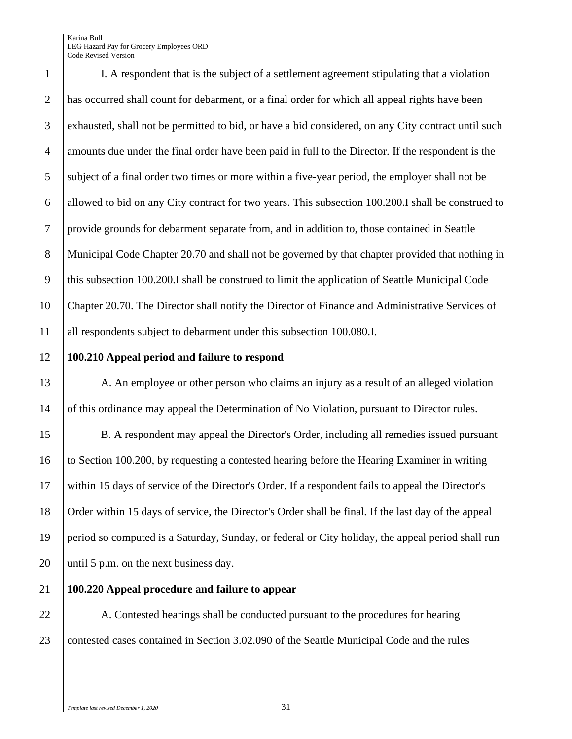I. A respondent that is the subject of a settlement agreement stipulating that a violation has occurred shall count for debarment, or a final order for which all appeal rights have been exhausted, shall not be permitted to bid, or have a bid considered, on any City contract until such 4 amounts due under the final order have been paid in full to the Director. If the respondent is the 5 subject of a final order two times or more within a five-year period, the employer shall not be allowed to bid on any City contract for two years. This subsection 100.200.I shall be construed to provide grounds for debarment separate from, and in addition to, those contained in Seattle 8 Municipal Code Chapter 20.70 and shall not be governed by that chapter provided that nothing in this subsection 100.200.I shall be construed to limit the application of Seattle Municipal Code Chapter 20.70. The Director shall notify the Director of Finance and Administrative Services of all respondents subject to debarment under this subsection 100.080.I.

## 12 **100.210 Appeal period and failure to respond**

13 A. An employee or other person who claims an injury as a result of an alleged violation 14 of this ordinance may appeal the Determination of No Violation, pursuant to Director rules.

 B. A respondent may appeal the Director's Order, including all remedies issued pursuant to Section 100.200, by requesting a contested hearing before the Hearing Examiner in writing within 15 days of service of the Director's Order. If a respondent fails to appeal the Director's Order within 15 days of service, the Director's Order shall be final. If the last day of the appeal period so computed is a Saturday, Sunday, or federal or City holiday, the appeal period shall run 20 until 5 p.m. on the next business day.

# 21 **100.220 Appeal procedure and failure to appear**

22 A. Contested hearings shall be conducted pursuant to the procedures for hearing 23 Contested cases contained in Section 3.02.090 of the Seattle Municipal Code and the rules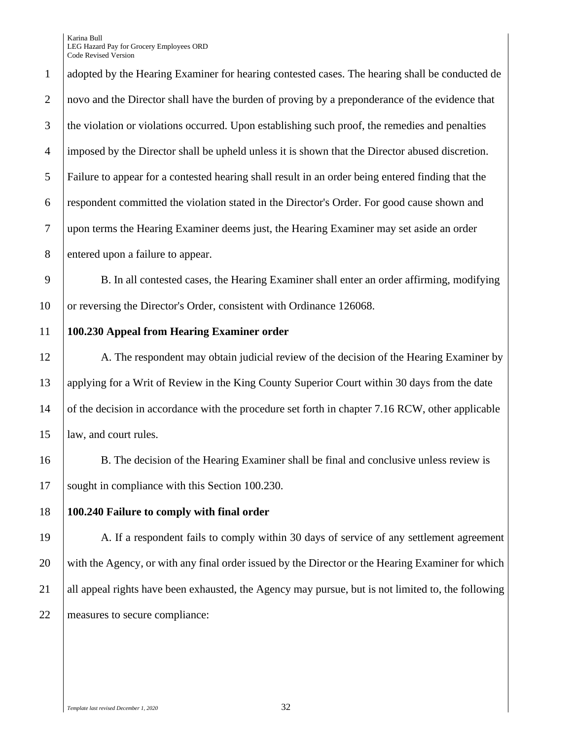adopted by the Hearing Examiner for hearing contested cases. The hearing shall be conducted de novo and the Director shall have the burden of proving by a preponderance of the evidence that the violation or violations occurred. Upon establishing such proof, the remedies and penalties imposed by the Director shall be upheld unless it is shown that the Director abused discretion. Failure to appear for a contested hearing shall result in an order being entered finding that the respondent committed the violation stated in the Director's Order. For good cause shown and upon terms the Hearing Examiner deems just, the Hearing Examiner may set aside an order 8 entered upon a failure to appear. B. In all contested cases, the Hearing Examiner shall enter an order affirming, modifying 10 or reversing the Director's Order, consistent with Ordinance 126068. **100.230 Appeal from Hearing Examiner order**  12 A. The respondent may obtain judicial review of the decision of the Hearing Examiner by applying for a Writ of Review in the King County Superior Court within 30 days from the date 14 of the decision in accordance with the procedure set forth in chapter 7.16 RCW, other applicable law, and court rules. 16 B. The decision of the Hearing Examiner shall be final and conclusive unless review is 17 Sought in compliance with this Section 100.230. **100.240 Failure to comply with final order** 

 A. If a respondent fails to comply within 30 days of service of any settlement agreement 20 with the Agency, or with any final order issued by the Director or the Hearing Examiner for which all appeal rights have been exhausted, the Agency may pursue, but is not limited to, the following measures to secure compliance: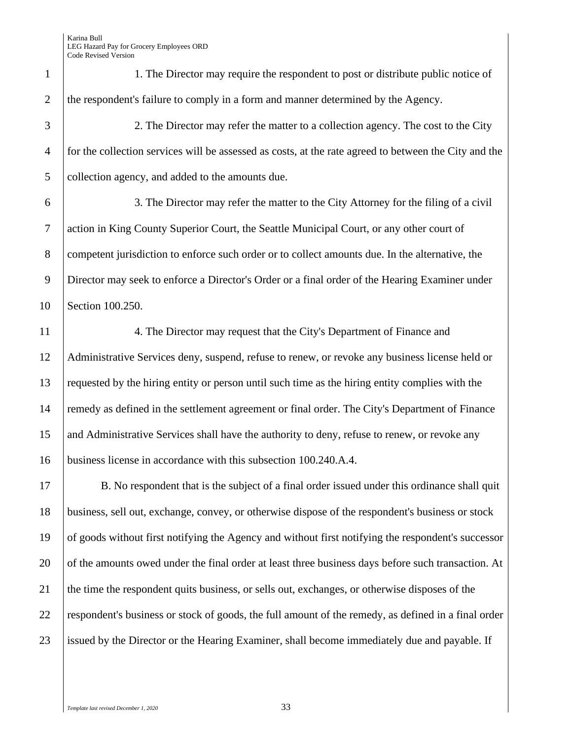| $\mathbf{1}$   | 1. The Director may require the respondent to post or distribute public notice of                     |
|----------------|-------------------------------------------------------------------------------------------------------|
| $\overline{2}$ | the respondent's failure to comply in a form and manner determined by the Agency.                     |
| 3              | 2. The Director may refer the matter to a collection agency. The cost to the City                     |
| $\overline{4}$ | for the collection services will be assessed as costs, at the rate agreed to between the City and the |
| 5              | collection agency, and added to the amounts due.                                                      |
| 6              | 3. The Director may refer the matter to the City Attorney for the filing of a civil                   |
| $\overline{7}$ | action in King County Superior Court, the Seattle Municipal Court, or any other court of              |
| $8\,$          | competent jurisdiction to enforce such order or to collect amounts due. In the alternative, the       |
| 9              | Director may seek to enforce a Director's Order or a final order of the Hearing Examiner under        |
| 10             | Section 100.250.                                                                                      |
| 11             | 4. The Director may request that the City's Department of Finance and                                 |
| 12             | Administrative Services deny, suspend, refuse to renew, or revoke any business license held or        |
| 13             | requested by the hiring entity or person until such time as the hiring entity complies with the       |
| 14             | remedy as defined in the settlement agreement or final order. The City's Department of Finance        |
| 15             | and Administrative Services shall have the authority to deny, refuse to renew, or revoke any          |
| 16             | business license in accordance with this subsection 100.240.A.4.                                      |
| 17             | B. No respondent that is the subject of a final order issued under this ordinance shall quit          |
| 18             | business, sell out, exchange, convey, or otherwise dispose of the respondent's business or stock      |
| 19             | of goods without first notifying the Agency and without first notifying the respondent's successor    |
| 20             | of the amounts owed under the final order at least three business days before such transaction. At    |
| 21             | the time the respondent quits business, or sells out, exchanges, or otherwise disposes of the         |
| 22             | respondent's business or stock of goods, the full amount of the remedy, as defined in a final order   |
| 23             | issued by the Director or the Hearing Examiner, shall become immediately due and payable. If          |
|                |                                                                                                       |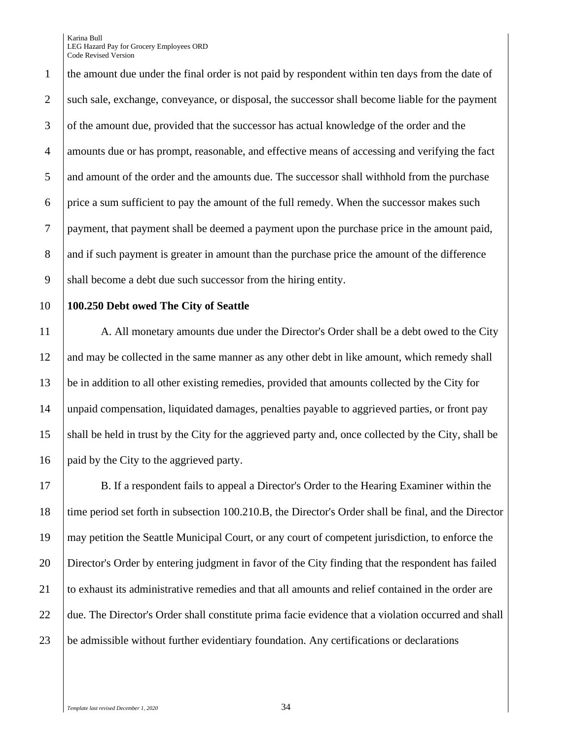1 the amount due under the final order is not paid by respondent within ten days from the date of 2 such sale, exchange, conveyance, or disposal, the successor shall become liable for the payment 3 of the amount due, provided that the successor has actual knowledge of the order and the 4 amounts due or has prompt, reasonable, and effective means of accessing and verifying the fact 5 and amount of the order and the amounts due. The successor shall withhold from the purchase  $6$  price a sum sufficient to pay the amount of the full remedy. When the successor makes such 7 payment, that payment shall be deemed a payment upon the purchase price in the amount paid, 8 and if such payment is greater in amount than the purchase price the amount of the difference 9 shall become a debt due such successor from the hiring entity.

### 10 **100.250 Debt owed The City of Seattle**

11 A. All monetary amounts due under the Director's Order shall be a debt owed to the City 12 and may be collected in the same manner as any other debt in like amount, which remedy shall 13 be in addition to all other existing remedies, provided that amounts collected by the City for 14 unpaid compensation, liquidated damages, penalties payable to aggrieved parties, or front pay 15 shall be held in trust by the City for the aggrieved party and, once collected by the City, shall be 16 paid by the City to the aggrieved party.

 B. If a respondent fails to appeal a Director's Order to the Hearing Examiner within the time period set forth in subsection 100.210.B, the Director's Order shall be final, and the Director may petition the Seattle Municipal Court, or any court of competent jurisdiction, to enforce the Director's Order by entering judgment in favor of the City finding that the respondent has failed to exhaust its administrative remedies and that all amounts and relief contained in the order are due. The Director's Order shall constitute prima facie evidence that a violation occurred and shall be admissible without further evidentiary foundation. Any certifications or declarations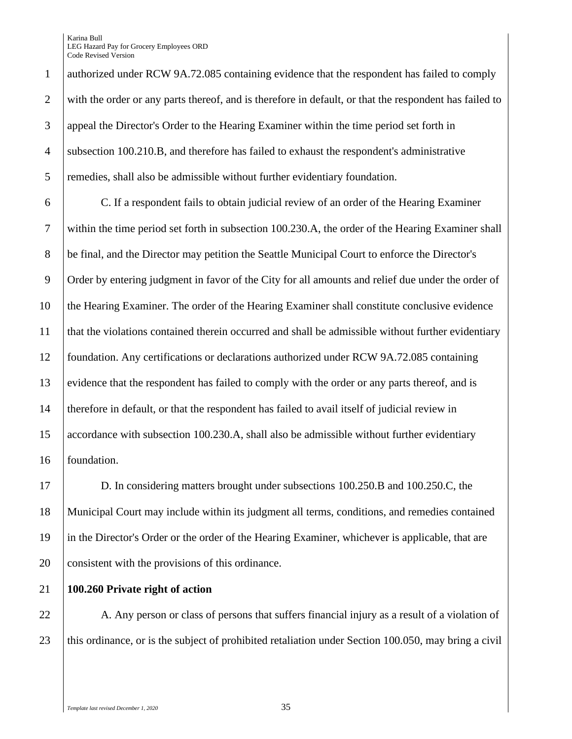authorized under RCW 9A.72.085 containing evidence that the respondent has failed to comply with the order or any parts thereof, and is therefore in default, or that the respondent has failed to appeal the Director's Order to the Hearing Examiner within the time period set forth in subsection 100.210.B, and therefore has failed to exhaust the respondent's administrative 5 remedies, shall also be admissible without further evidentiary foundation.

 C. If a respondent fails to obtain judicial review of an order of the Hearing Examiner within the time period set forth in subsection 100.230.A, the order of the Hearing Examiner shall be final, and the Director may petition the Seattle Municipal Court to enforce the Director's 9 Order by entering judgment in favor of the City for all amounts and relief due under the order of the Hearing Examiner. The order of the Hearing Examiner shall constitute conclusive evidence that the violations contained therein occurred and shall be admissible without further evidentiary foundation. Any certifications or declarations authorized under RCW 9A.72.085 containing evidence that the respondent has failed to comply with the order or any parts thereof, and is therefore in default, or that the respondent has failed to avail itself of judicial review in accordance with subsection 100.230.A, shall also be admissible without further evidentiary foundation.

 D. In considering matters brought under subsections 100.250.B and 100.250.C, the Municipal Court may include within its judgment all terms, conditions, and remedies contained in the Director's Order or the order of the Hearing Examiner, whichever is applicable, that are 20 consistent with the provisions of this ordinance.

**100.260 Private right of action** 

22 A. Any person or class of persons that suffers financial injury as a result of a violation of 23 | this ordinance, or is the subject of prohibited retaliation under Section 100.050, may bring a civil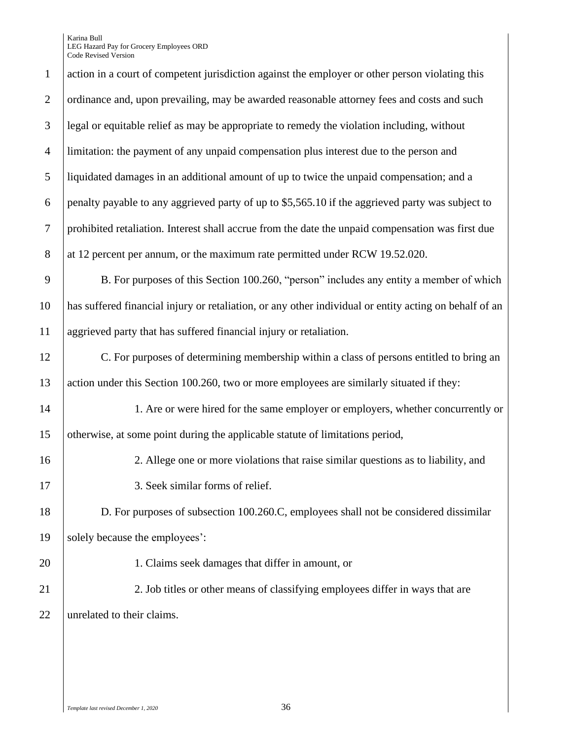| $\mathbf{1}$   | action in a court of competent jurisdiction against the employer or other person violating this        |
|----------------|--------------------------------------------------------------------------------------------------------|
| $\overline{2}$ | ordinance and, upon prevailing, may be awarded reasonable attorney fees and costs and such             |
| 3              | legal or equitable relief as may be appropriate to remedy the violation including, without             |
| $\overline{4}$ | limitation: the payment of any unpaid compensation plus interest due to the person and                 |
| 5              | liquidated damages in an additional amount of up to twice the unpaid compensation; and a               |
| 6              | penalty payable to any aggrieved party of up to \$5,565.10 if the aggrieved party was subject to       |
| $\tau$         | prohibited retaliation. Interest shall accrue from the date the unpaid compensation was first due      |
| 8              | at 12 percent per annum, or the maximum rate permitted under RCW 19.52.020.                            |
| 9              | B. For purposes of this Section 100.260, "person" includes any entity a member of which                |
| 10             | has suffered financial injury or retaliation, or any other individual or entity acting on behalf of an |
| 11             | aggrieved party that has suffered financial injury or retaliation.                                     |
| 12             | C. For purposes of determining membership within a class of persons entitled to bring an               |
| 13             | action under this Section 100.260, two or more employees are similarly situated if they:               |
| 14             | 1. Are or were hired for the same employer or employers, whether concurrently or                       |
| 15             | otherwise, at some point during the applicable statute of limitations period,                          |
| 16             | 2. Allege one or more violations that raise similar questions as to liability, and                     |
| 17             | 3. Seek similar forms of relief.                                                                       |
| 18             | D. For purposes of subsection 100.260.C, employees shall not be considered dissimilar                  |
| 19             | solely because the employees':                                                                         |
| 20             | 1. Claims seek damages that differ in amount, or                                                       |
| 21             | 2. Job titles or other means of classifying employees differ in ways that are                          |
| 22             | unrelated to their claims.                                                                             |
|                |                                                                                                        |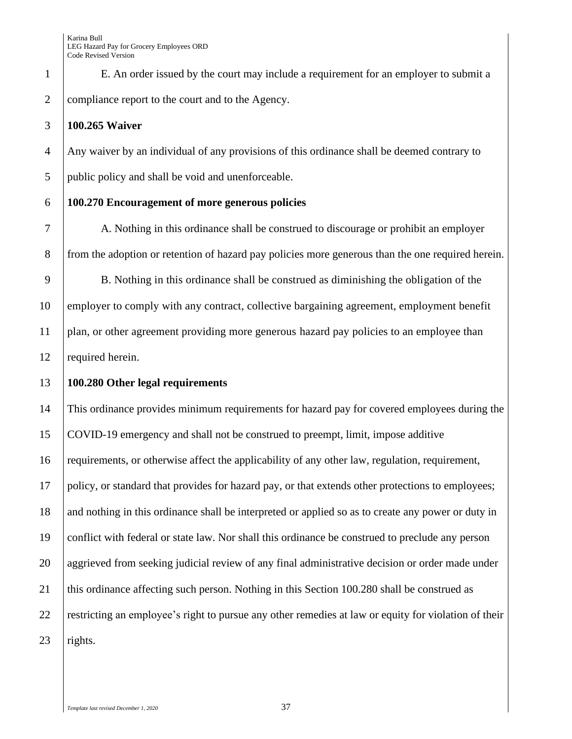E. An order issued by the court may include a requirement for an employer to submit a compliance report to the court and to the Agency.

## **100.265 Waiver**

 Any waiver by an individual of any provisions of this ordinance shall be deemed contrary to public policy and shall be void and unenforceable.

# **100.270 Encouragement of more generous policies**

 A. Nothing in this ordinance shall be construed to discourage or prohibit an employer from the adoption or retention of hazard pay policies more generous than the one required herein.

 B. Nothing in this ordinance shall be construed as diminishing the obligation of the 10 employer to comply with any contract, collective bargaining agreement, employment benefit plan, or other agreement providing more generous hazard pay policies to an employee than 12 required herein.

## **100.280 Other legal requirements**

 This ordinance provides minimum requirements for hazard pay for covered employees during the COVID-19 emergency and shall not be construed to preempt, limit, impose additive requirements, or otherwise affect the applicability of any other law, regulation, requirement, policy, or standard that provides for hazard pay, or that extends other protections to employees; 18 and nothing in this ordinance shall be interpreted or applied so as to create any power or duty in conflict with federal or state law. Nor shall this ordinance be construed to preclude any person 20 aggrieved from seeking judicial review of any final administrative decision or order made under 21 this ordinance affecting such person. Nothing in this Section 100.280 shall be construed as restricting an employee's right to pursue any other remedies at law or equity for violation of their  $\vert$  rights.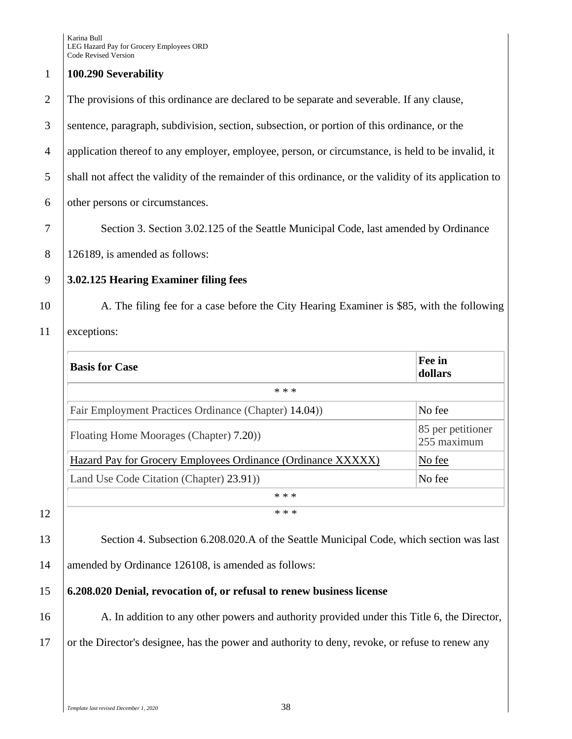## 1 **100.290 Severability**

2 The provisions of this ordinance are declared to be separate and severable. If any clause,

3 Sentence, paragraph, subdivision, section, subsection, or portion of this ordinance, or the

4 application thereof to any employer, employee, person, or circumstance, is held to be invalid, it

5 shall not affect the validity of the remainder of this ordinance, or the validity of its application to

6 other persons or circumstances.

7 | Section 3. Section 3.02.125 of the Seattle Municipal Code, last amended by Ordinance

8 126189, is amended as follows:

# 9 **3.02.125 Hearing Examiner filing fees**

10 A. The filing fee for a case before the City Hearing Examiner is \$85, with the following

11 exceptions:

| <b>Basis for Case</b>                                                                                                                          | Fee in<br>dollars                |
|------------------------------------------------------------------------------------------------------------------------------------------------|----------------------------------|
| * * *                                                                                                                                          |                                  |
| Fair Employment Practices Ordinance (Chapter) 14.04))                                                                                          | No fee                           |
| Floating Home Moorages (Chapter) 7.20)                                                                                                         | 85 per petitioner<br>255 maximum |
| Hazard Pay for Grocery Employees Ordinance (Ordinance XXXXX)                                                                                   | No fee                           |
| Land Use Code Citation (Chapter) 23.91))                                                                                                       | No fee                           |
| * * *                                                                                                                                          |                                  |
| * * *                                                                                                                                          |                                  |
| Section 4. Subsection 6.208.020.A of the Seattle Municipal Code, which section was last<br>amended by Ordinance 126108, is amended as follows: |                                  |
|                                                                                                                                                |                                  |
| 6.208.020 Denial, revocation of, or refusal to renew business license                                                                          |                                  |

16 A. In addition to any other powers and authority provided under this Title 6, the Director, 17 or the Director's designee, has the power and authority to deny, revoke, or refuse to renew any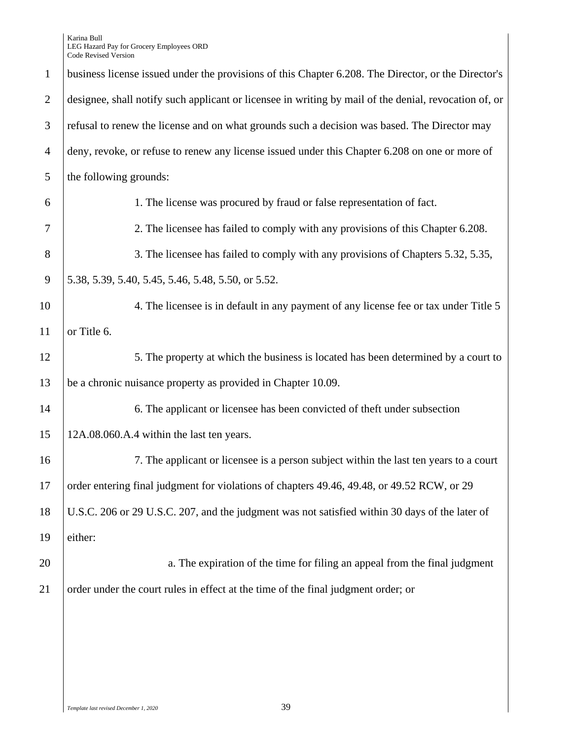| $\mathbf{1}$   | business license issued under the provisions of this Chapter 6.208. The Director, or the Director's   |
|----------------|-------------------------------------------------------------------------------------------------------|
| $\overline{2}$ | designee, shall notify such applicant or licensee in writing by mail of the denial, revocation of, or |
| 3              | refusal to renew the license and on what grounds such a decision was based. The Director may          |
| $\overline{4}$ | deny, revoke, or refuse to renew any license issued under this Chapter 6.208 on one or more of        |
| 5              | the following grounds:                                                                                |
| 6              | 1. The license was procured by fraud or false representation of fact.                                 |
| 7              | 2. The licensee has failed to comply with any provisions of this Chapter 6.208.                       |
| 8              | 3. The licensee has failed to comply with any provisions of Chapters 5.32, 5.35,                      |
| 9              | 5.38, 5.39, 5.40, 5.45, 5.46, 5.48, 5.50, or 5.52.                                                    |
| 10             | 4. The licensee is in default in any payment of any license fee or tax under Title 5                  |
| 11             | or Title 6.                                                                                           |
| 12             | 5. The property at which the business is located has been determined by a court to                    |
| 13             | be a chronic nuisance property as provided in Chapter 10.09.                                          |
| 14             | 6. The applicant or licensee has been convicted of theft under subsection                             |
| 15             | 12A.08.060.A.4 within the last ten years.                                                             |
| 16             | 7. The applicant or licensee is a person subject within the last ten years to a court                 |
| 17             | order entering final judgment for violations of chapters 49.46, 49.48, or 49.52 RCW, or 29            |
| 18             | U.S.C. 206 or 29 U.S.C. 207, and the judgment was not satisfied within 30 days of the later of        |
| 19             | either:                                                                                               |
| 20             | a. The expiration of the time for filing an appeal from the final judgment                            |
| 21             | order under the court rules in effect at the time of the final judgment order; or                     |
|                |                                                                                                       |
|                |                                                                                                       |
|                |                                                                                                       |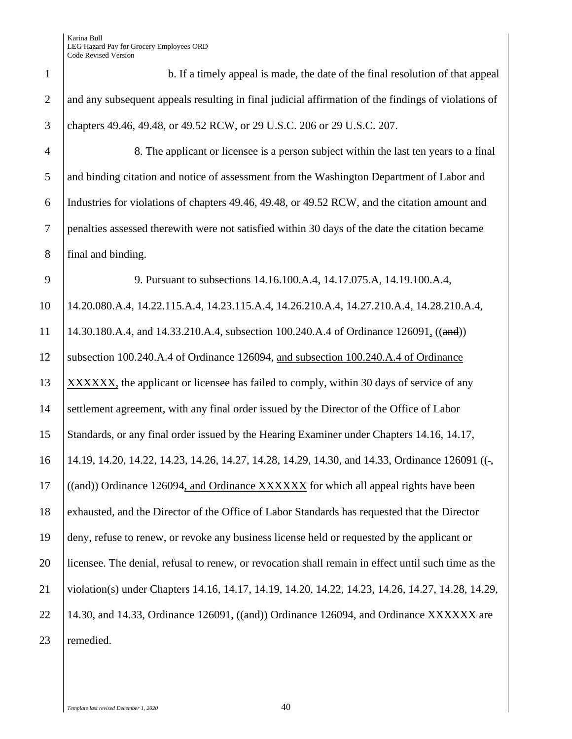| $\mathbf{1}$   | b. If a timely appeal is made, the date of the final resolution of that appeal                      |
|----------------|-----------------------------------------------------------------------------------------------------|
| $\overline{2}$ | and any subsequent appeals resulting in final judicial affirmation of the findings of violations of |
| 3              | chapters 49.46, 49.48, or 49.52 RCW, or 29 U.S.C. 206 or 29 U.S.C. 207.                             |
| $\overline{4}$ | 8. The applicant or licensee is a person subject within the last ten years to a final               |
| 5              | and binding citation and notice of assessment from the Washington Department of Labor and           |
| 6              | Industries for violations of chapters 49.46, 49.48, or 49.52 RCW, and the citation amount and       |
| $\tau$         | penalties assessed therewith were not satisfied within 30 days of the date the citation became      |
| 8              | final and binding.                                                                                  |
| 9              | 9. Pursuant to subsections 14.16.100.A.4, 14.17.075.A, 14.19.100.A.4,                               |
| 10             | 14.20.080.A.4, 14.22.115.A.4, 14.23.115.A.4, 14.26.210.A.4, 14.27.210.A.4, 14.28.210.A.4,           |
| 11             | 14.30.180.A.4, and 14.33.210.A.4, subsection 100.240.A.4 of Ordinance 126091, ((and))               |
| 12             | subsection 100.240.A.4 of Ordinance 126094, and subsection 100.240.A.4 of Ordinance                 |
| 13             | XXXXXX, the applicant or licensee has failed to comply, within 30 days of service of any            |
| 14             | settlement agreement, with any final order issued by the Director of the Office of Labor            |
| 15             | Standards, or any final order issued by the Hearing Examiner under Chapters 14.16, 14.17,           |
| 16             | 14.19, 14.20, 14.22, 14.23, 14.26, 14.27, 14.28, 14.29, 14.30, and 14.33, Ordinance 126091 ((-,     |
| 17             | $((and))$ Ordinance 126094, and Ordinance XXXXXX for which all appeal rights have been              |
| 18             | exhausted, and the Director of the Office of Labor Standards has requested that the Director        |
| 19             | deny, refuse to renew, or revoke any business license held or requested by the applicant or         |
| 20             | licensee. The denial, refusal to renew, or revocation shall remain in effect until such time as the |
| 21             | violation(s) under Chapters 14.16, 14.17, 14.19, 14.20, 14.22, 14.23, 14.26, 14.27, 14.28, 14.29,   |
| 22             | 14.30, and 14.33, Ordinance 126091, ((and)) Ordinance 126094, and Ordinance XXXXXX are              |
| 23             | remedied.                                                                                           |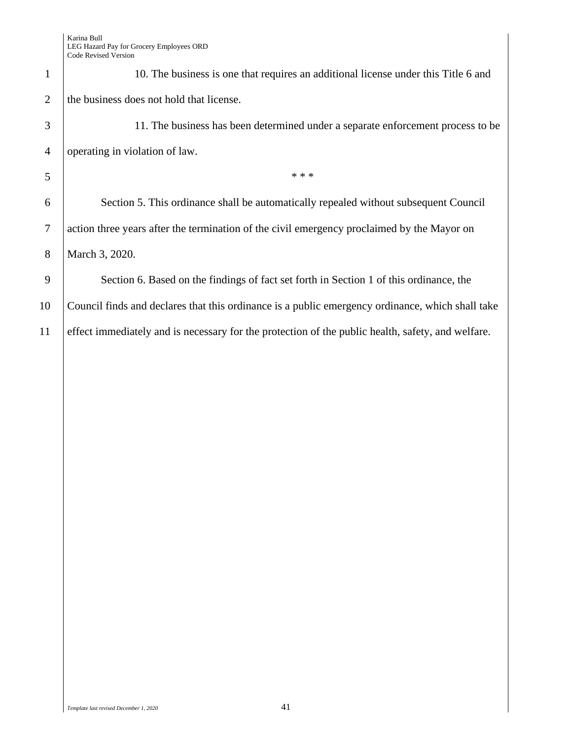| 1              | 10. The business is one that requires an additional license under this Title 6 and                |
|----------------|---------------------------------------------------------------------------------------------------|
| 2              | the business does not hold that license.                                                          |
| 3              | 11. The business has been determined under a separate enforcement process to be                   |
| $\overline{4}$ | operating in violation of law.                                                                    |
| 5              | * * *                                                                                             |
| 6              | Section 5. This ordinance shall be automatically repealed without subsequent Council              |
| $\overline{7}$ | action three years after the termination of the civil emergency proclaimed by the Mayor on        |
| 8              | March 3, 2020.                                                                                    |
| 9              | Section 6. Based on the findings of fact set forth in Section 1 of this ordinance, the            |
| 10             | Council finds and declares that this ordinance is a public emergency ordinance, which shall take  |
| 11             | effect immediately and is necessary for the protection of the public health, safety, and welfare. |
|                |                                                                                                   |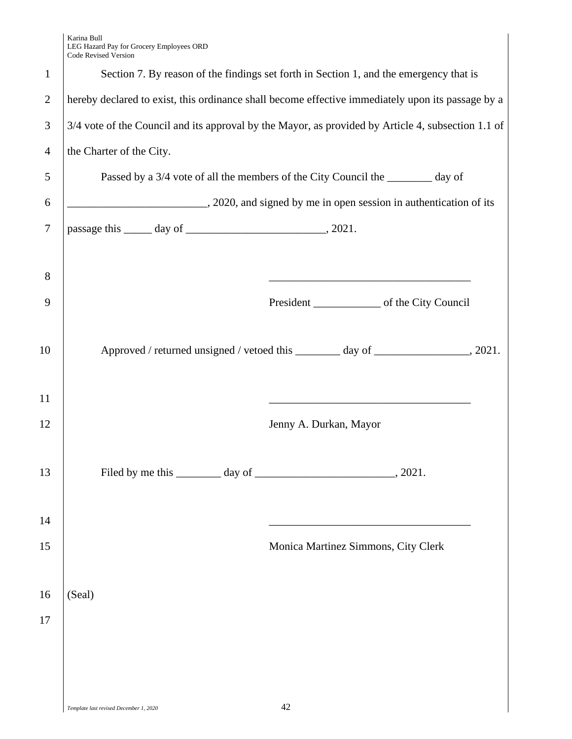| $\mathbf{1}$   | Section 7. By reason of the findings set forth in Section 1, and the emergency that is             |
|----------------|----------------------------------------------------------------------------------------------------|
| $\overline{2}$ | hereby declared to exist, this ordinance shall become effective immediately upon its passage by a  |
| 3              | 3/4 vote of the Council and its approval by the Mayor, as provided by Article 4, subsection 1.1 of |
| $\overline{4}$ | the Charter of the City.                                                                           |
| 5              | Passed by a 3/4 vote of all the members of the City Council the ________ day of                    |
| 6              | 2020, and signed by me in open session in authentication of its                                    |
| 7              |                                                                                                    |
|                |                                                                                                    |
| 8              |                                                                                                    |
| 9              |                                                                                                    |
|                |                                                                                                    |
| 10             | Approved / returned unsigned / vetoed this _______ day of ________________, 2021.                  |
|                |                                                                                                    |
| 11             |                                                                                                    |
| 12             | Jenny A. Durkan, Mayor                                                                             |
|                |                                                                                                    |
| 13             | Filed by me this<br>day of<br>2021.                                                                |
| 14             |                                                                                                    |
| 15             | Monica Martinez Simmons, City Clerk                                                                |
|                |                                                                                                    |
| 16             | (Seal)                                                                                             |
| 17             |                                                                                                    |
|                |                                                                                                    |
|                |                                                                                                    |
|                |                                                                                                    |